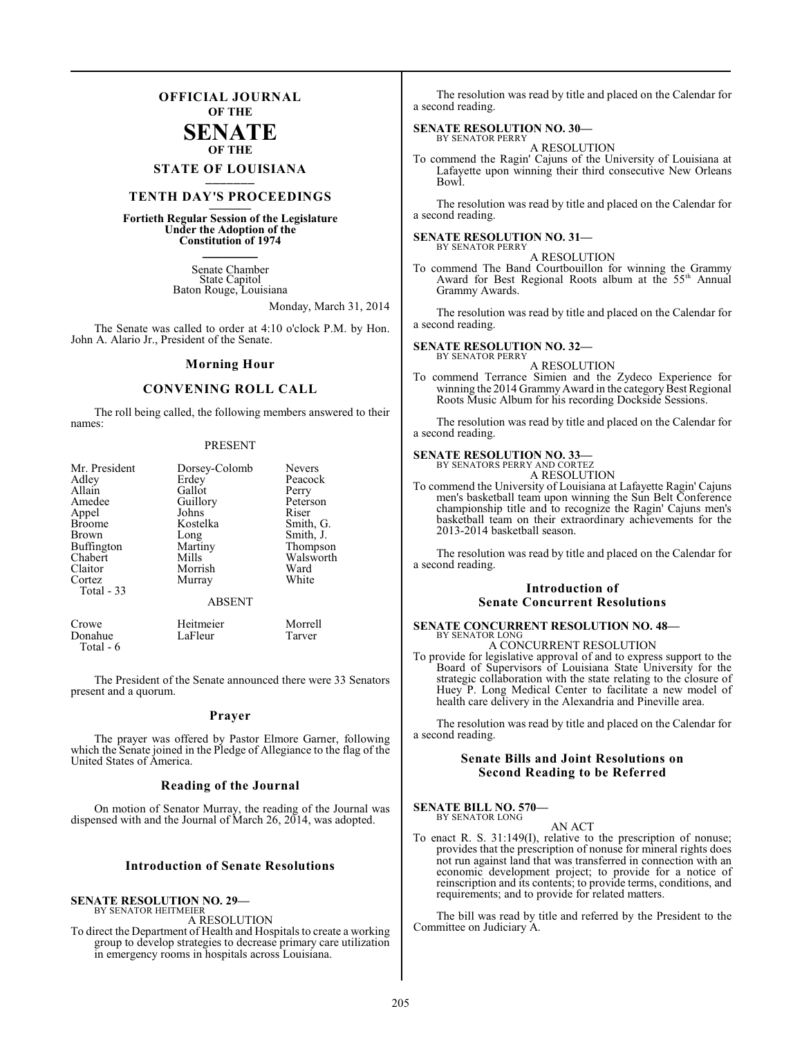## **OFFICIAL JOURNAL OF THE**

### **SENATE OF THE**

**STATE OF LOUISIANA \_\_\_\_\_\_\_**

## **TENTH DAY'S PROCEEDINGS \_\_\_\_\_\_\_**

**Fortieth Regular Session of the Legislature Under the Adoption of the Constitution of 1974 \_\_\_\_\_\_\_**

> Senate Chamber State Capitol Baton Rouge, Louisiana

> > Monday, March 31, 2014

The Senate was called to order at 4:10 o'clock P.M. by Hon. John A. Alario Jr., President of the Senate.

### **Morning Hour**

### **CONVENING ROLL CALL**

The roll being called, the following members answered to their names:

### PRESENT

| Mr. President        | Dorsey-Colomb | Nevers    |
|----------------------|---------------|-----------|
| Adley                | Erdey         | Peacock   |
| Allain               | Gallot        | Perry     |
| Amedee               | Guillory      | Peterson  |
| Appel                | Johns         | Riser     |
| <b>Broome</b>        | Kostelka      | Smith, G. |
| Brown                | Long          | Smith, J. |
| Buffington           | Martiny       | Thompson  |
| Chabert              | Mills         | Walsworth |
| Claitor              | Morrish       | Ward      |
| Cortez<br>Total - 33 | Murray        | White     |
|                      | <b>ABSENT</b> |           |
|                      |               |           |

Crowe Heitmeier Morrell<br>
Donahue LaFleur Tarver Donahue Total - 6

The President of the Senate announced there were 33 Senators present and a quorum.

### **Prayer**

The prayer was offered by Pastor Elmore Garner, following which the Senate joined in the Pledge of Allegiance to the flag of the United States of America.

### **Reading of the Journal**

On motion of Senator Murray, the reading of the Journal was dispensed with and the Journal of March 26, 2014, was adopted.

### **Introduction of Senate Resolutions**

### **SENATE RESOLUTION NO. 29—**

BY SENATOR HEITMEIER

A RESOLUTION To direct the Department of Health and Hospitals to create a working group to develop strategies to decrease primary care utilization in emergency rooms in hospitals across Louisiana.

The resolution was read by title and placed on the Calendar for a second reading.

### **SENATE RESOLUTION NO. 30—** BY SENATOR PERRY

A RESOLUTION

To commend the Ragin' Cajuns of the University of Louisiana at Lafayette upon winning their third consecutive New Orleans Bowl.

The resolution was read by title and placed on the Calendar for a second reading.

### **SENATE RESOLUTION NO. 31—** BY SENATOR PERRY

A RESOLUTION

To commend The Band Courtbouillon for winning the Grammy Award for Best Regional Roots album at the 55<sup>th</sup> Annual Grammy Awards.

The resolution was read by title and placed on the Calendar for a second reading.

### **SENATE RESOLUTION NO. 32—**

BY SENATOR PERRY A RESOLUTION

To commend Terrance Simien and the Zydeco Experience for winning the 2014 Grammy Award in the category Best Regional Roots Music Album for his recording Dockside Sessions.

The resolution was read by title and placed on the Calendar for a second reading.

### **SENATE RESOLUTION NO. 33—**

BY SENATORS PERRY AND CORTEZ A RESOLUTION

To commend the University of Louisiana at Lafayette Ragin' Cajuns men's basketball team upon winning the Sun Belt Conference championship title and to recognize the Ragin' Cajuns men's basketball team on their extraordinary achievements for the 2013-2014 basketball season.

The resolution was read by title and placed on the Calendar for a second reading.

### **Introduction of Senate Concurrent Resolutions**

### **SENATE CONCURRENT RESOLUTION NO. 48—** BY SENATOR LONG

A CONCURRENT RESOLUTION

To provide for legislative approval of and to express support to the Board of Supervisors of Louisiana State University for the strategic collaboration with the state relating to the closure of Huey P. Long Medical Center to facilitate a new model of health care delivery in the Alexandria and Pineville area.

The resolution was read by title and placed on the Calendar for a second reading.

### **Senate Bills and Joint Resolutions on Second Reading to be Referred**

**SENATE BILL NO. 570—** BY SENATOR LONG

### AN ACT

To enact R. S. 31:149(I), relative to the prescription of nonuse; provides that the prescription of nonuse for mineral rights does not run against land that was transferred in connection with an economic development project; to provide for a notice of reinscription and its contents; to provide terms, conditions, and requirements; and to provide for related matters.

The bill was read by title and referred by the President to the Committee on Judiciary A.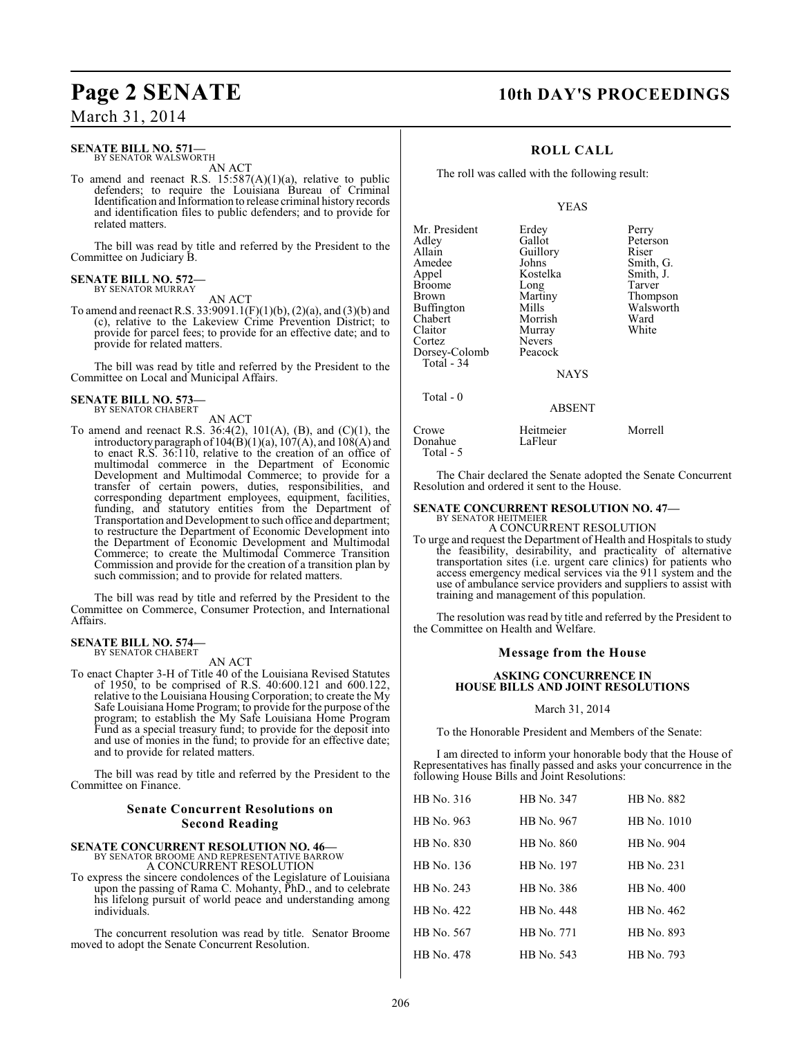### **SENATE BILL NO. 571—** BY SENATOR WALSWORTH

AN ACT

To amend and reenact R.S.  $15:587(A)(1)(a)$ , relative to public defenders; to require the Louisiana Bureau of Criminal Identification and Information to release criminal history records and identification files to public defenders; and to provide for related matters.

The bill was read by title and referred by the President to the Committee on Judiciary B.

### **SENATE BILL NO. 572—** BY SENATOR MURRAY

AN ACT

To amend and reenact R.S. 33:9091.1(F)(1)(b), (2)(a), and (3)(b) and (c), relative to the Lakeview Crime Prevention District; to provide for parcel fees; to provide for an effective date; and to provide for related matters.

The bill was read by title and referred by the President to the Committee on Local and Municipal Affairs.

### **SENATE BILL NO. 573—** BY SENATOR CHABERT

AN ACT

To amend and reenact R.S. 36:4(2), 101(A), (B), and (C)(1), the introductory paragraph of  $104(B)(1)(a)$ ,  $107(A)$ , and  $108(A)$  and to enact R.S. 36:110, relative to the creation of an office of multimodal commerce in the Department of Economic Development and Multimodal Commerce; to provide for a transfer of certain powers, duties, responsibilities, and corresponding department employees, equipment, facilities, funding, and statutory entities from the Department of Transportation and Development to such office and department; to restructure the Department of Economic Development into the Department of Economic Development and Multimodal Commerce; to create the Multimodal Commerce Transition Commission and provide for the creation of a transition plan by such commission; and to provide for related matters.

The bill was read by title and referred by the President to the Committee on Commerce, Consumer Protection, and International Affairs.

### **SENATE BILL NO. 574—** BY SENATOR CHABERT

AN ACT

To enact Chapter 3-H of Title 40 of the Louisiana Revised Statutes of 1950, to be comprised of R.S. 40:600.121 and 600.122, relative to the Louisiana Housing Corporation; to create the My Safe Louisiana Home Program; to provide for the purpose of the program; to establish the My Safe Louisiana Home Program Fund as a special treasury fund; to provide for the deposit into and use of monies in the fund; to provide for an effective date; and to provide for related matters.

The bill was read by title and referred by the President to the Committee on Finance.

### **Senate Concurrent Resolutions on Second Reading**

**SENATE CONCURRENT RESOLUTION NO. 46—** BY SENATOR BROOME AND REPRESENTATIVE BARROW

A CONCURRENT RESOLUTION

To express the sincere condolences of the Legislature of Louisiana upon the passing of Rama C. Mohanty, PhD., and to celebrate his lifelong pursuit of world peace and understanding among individuals.

The concurrent resolution was read by title. Senator Broome moved to adopt the Senate Concurrent Resolution.

## **Page 2 SENATE 10th DAY'S PROCEEDINGS**

### **ROLL CALL**

The roll was called with the following result:

### YEAS

| Mr. President | Erdey         | Perry     |
|---------------|---------------|-----------|
|               | Gallot        | Peterson  |
| Adley         |               |           |
| Allain        | Guillory      | Riser     |
| Amedee        | Johns         | Smith, G. |
| Appel         | Kostelka      | Smith, J. |
| <b>Broome</b> | Long          | Tarver    |
| Brown         | Martiny       | Thompson  |
| Buffington    | Mills         | Walsworth |
| Chabert       | Morrish       | Ward      |
| Claitor       | Murray        | White     |
| Cortez        | <b>Nevers</b> |           |
| Dorsey-Colomb | Peacock       |           |
| Total - 34    |               |           |
|               | <b>NAYS</b>   |           |
| Total - 0     |               |           |
|               | ABSENT        |           |

Crowe Heitmeier Morrell Donahue Total - 5

The Chair declared the Senate adopted the Senate Concurrent Resolution and ordered it sent to the House.

### **SENATE CONCURRENT RESOLUTION NO. 47—** BY SENATOR HEITMEIER

A CONCURRENT RESOLUTION

To urge and request the Department of Health and Hospitals to study the feasibility, desirability, and practicality of alternative transportation sites (i.e. urgent care clinics) for patients who access emergency medical services via the 911 system and the use of ambulance service providers and suppliers to assist with training and management of this population.

The resolution was read by title and referred by the President to the Committee on Health and Welfare.

### **Message from the House**

### **ASKING CONCURRENCE IN HOUSE BILLS AND JOINT RESOLUTIONS**

### March 31, 2014

To the Honorable President and Members of the Senate:

I am directed to inform your honorable body that the House of Representatives has finally passed and asks your concurrence in the following House Bills and Joint Resolutions:

| HB No. 316 | HB No. 347 | HB No. 882  |
|------------|------------|-------------|
| HB No. 963 | HB No. 967 | HB No. 1010 |
| HB No. 830 | HB No. 860 | HB No. 904  |
| HB No. 136 | HB No. 197 | HB No. 231  |
| HB No. 243 | HB No. 386 | HB No. 400  |
| HB No. 422 | HB No. 448 | HB No. 462  |
| HB No. 567 | HB No. 771 | HB No. 893  |
| HB No. 478 | HB No. 543 | HB No. 793  |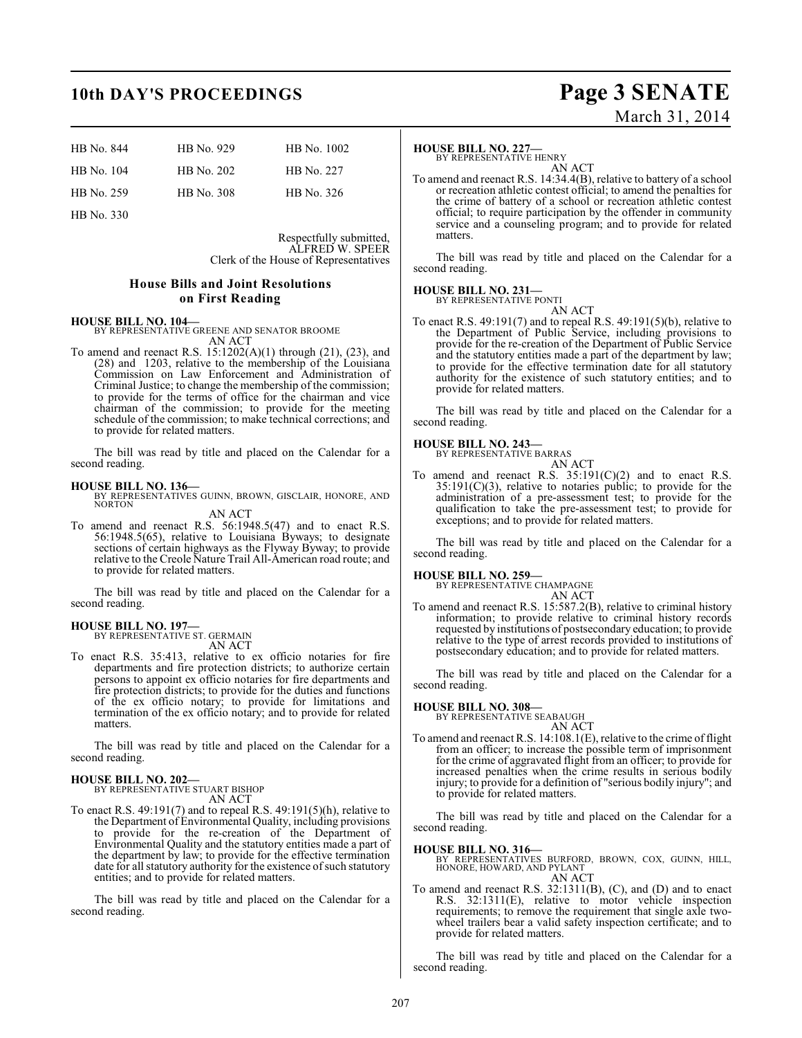## **10th DAY'S PROCEEDINGS Page 3 SENATE**

| HB No. 844 | HB No. 929 | HB No. 1002 |
|------------|------------|-------------|
| HB No. 104 | HB No. 202 | HB No. 227  |
| HB No. 259 | HB No. 308 | HB No. 326  |

HB No. 330

Respectfully submitted, ALFRED W. SPEER Clerk of the House of Representatives

### **House Bills and Joint Resolutions on First Reading**

### **HOUSE BILL NO. 104—**

BY REPRESENTATIVE GREENE AND SENATOR BROOME AN ACT

To amend and reenact R.S. 15:1202(A)(1) through (21), (23), and (28) and 1203, relative to the membership of the Louisiana Commission on Law Enforcement and Administration of Criminal Justice; to change the membership of the commission; to provide for the terms of office for the chairman and vice chairman of the commission; to provide for the meeting schedule of the commission; to make technical corrections; and to provide for related matters.

The bill was read by title and placed on the Calendar for a second reading.

### **HOUSE BILL NO. 136—**

BY REPRESENTATIVES GUINN, BROWN, GISCLAIR, HONORE, AND NORTON AN ACT

To amend and reenact R.S. 56:1948.5(47) and to enact R.S. 56:1948.5(65), relative to Louisiana Byways; to designate sections of certain highways as the Flyway Byway; to provide relative to the Creole Nature Trail All-American road route; and to provide for related matters.

The bill was read by title and placed on the Calendar for a second reading.

### **HOUSE BILL NO. 197—** BY REPRESENTATIVE ST. GERMAIN

AN ACT

To enact R.S. 35:413, relative to ex officio notaries for fire departments and fire protection districts; to authorize certain persons to appoint ex officio notaries for fire departments and fire protection districts; to provide for the duties and functions of the ex officio notary; to provide for limitations and termination of the ex officio notary; and to provide for related matters.

The bill was read by title and placed on the Calendar for a second reading.

### **HOUSE BILL NO. 202—** BY REPRESENTATIVE STUART BISHOP

AN ACT

To enact R.S. 49:191(7) and to repeal R.S. 49:191(5)(h), relative to the Department of Environmental Quality, including provisions to provide for the re-creation of the Department of Environmental Quality and the statutory entities made a part of the department by law; to provide for the effective termination date for all statutory authority for the existence of such statutory entities; and to provide for related matters.

The bill was read by title and placed on the Calendar for a second reading.

### **HOUSE BILL NO. 227—**

BY REPRESENTATIVE HENRY

AN ACT To amend and reenact R.S. 14:34.4(B), relative to battery of a school or recreation athletic contest official; to amend the penalties for the crime of battery of a school or recreation athletic contest official; to require participation by the offender in community service and a counseling program; and to provide for related matters.

The bill was read by title and placed on the Calendar for a second reading.

### **HOUSE BILL NO. 231—** BY REPRESENTATIVE PONTI

AN ACT

To enact R.S. 49:191(7) and to repeal R.S. 49:191(5)(b), relative to the Department of Public Service, including provisions to provide for the re-creation of the Department of Public Service and the statutory entities made a part of the department by law; to provide for the effective termination date for all statutory authority for the existence of such statutory entities; and to provide for related matters.

The bill was read by title and placed on the Calendar for a second reading.

## **HOUSE BILL NO. 243—** BY REPRESENTATIVE BARRAS

AN ACT To amend and reenact R.S. 35:191(C)(2) and to enact R.S.  $35:191(C)(3)$ , relative to notaries public; to provide for the administration of a pre-assessment test; to provide for the qualification to take the pre-assessment test; to provide for exceptions; and to provide for related matters.

The bill was read by title and placed on the Calendar for a second reading.

## **HOUSE BILL NO. 259—** BY REPRESENTATIVE CHAMPAGNE

AN ACT

To amend and reenact R.S. 15:587.2(B), relative to criminal history information; to provide relative to criminal history records requested by institutions of postsecondary education; to provide relative to the type of arrest records provided to institutions of postsecondary education; and to provide for related matters.

The bill was read by title and placed on the Calendar for a second reading.

## **HOUSE BILL NO. 308—** BY REPRESENTATIVE SEABAUGH

AN ACT

To amend and reenact R.S. 14:108.1(E), relative to the crime of flight from an officer; to increase the possible term of imprisonment for the crime of aggravated flight from an officer; to provide for increased penalties when the crime results in serious bodily injury; to provide for a definition of "serious bodily injury"; and to provide for related matters.

The bill was read by title and placed on the Calendar for a second reading.

- **HOUSE BILL NO. 316—** BY REPRESENTATIVES BURFORD, BROWN, COX, GUINN, HILL, HONORE, HOWARD, AND PYLANT AN ACT
- To amend and reenact R.S. 32:1311(B), (C), and (D) and to enact R.S. 32:1311(E), relative to motor vehicle inspection requirements; to remove the requirement that single axle twowheel trailers bear a valid safety inspection certificate; and to provide for related matters.

The bill was read by title and placed on the Calendar for a second reading.

March 31, 2014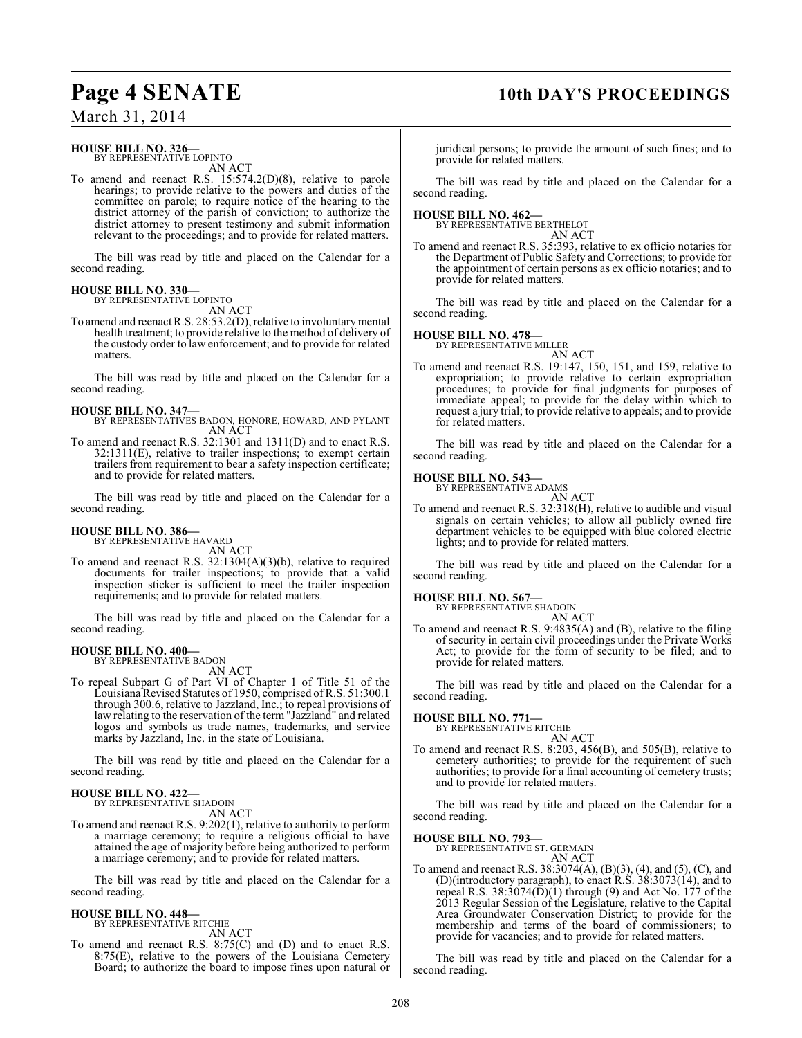## **Page 4 SENATE 10th DAY'S PROCEEDINGS**

March 31, 2014

### **HOUSE BILL NO. 326—** BY REPRESENTATIVE LOPINTO

AN ACT

To amend and reenact R.S. 15:574.2(D)(8), relative to parole hearings; to provide relative to the powers and duties of the committee on parole; to require notice of the hearing to the district attorney of the parish of conviction; to authorize the district attorney to present testimony and submit information relevant to the proceedings; and to provide for related matters.

The bill was read by title and placed on the Calendar for a second reading.

### **HOUSE BILL NO. 330—** BY REPRESENTATIVE LOPINTO

AN ACT

To amend and reenact R.S. 28:53.2(D), relative to involuntary mental health treatment; to provide relative to the method of delivery of the custody order to law enforcement; and to provide for related matters.

The bill was read by title and placed on the Calendar for a second reading.

### **HOUSE BILL NO. 347—**

BY REPRESENTATIVES BADON, HONORE, HOWARD, AND PYLANT AN ACT

To amend and reenact R.S. 32:1301 and 1311(D) and to enact R.S. 32:1311(E), relative to trailer inspections; to exempt certain trailers from requirement to bear a safety inspection certificate; and to provide for related matters.

The bill was read by title and placed on the Calendar for a second reading.

## **HOUSE BILL NO. 386—** BY REPRESENTATIVE HAVARD

AN ACT

To amend and reenact R.S. 32:1304(A)(3)(b), relative to required documents for trailer inspections; to provide that a valid inspection sticker is sufficient to meet the trailer inspection requirements; and to provide for related matters.

The bill was read by title and placed on the Calendar for a second reading.

### **HOUSE BILL NO. 400—** BY REPRESENTATIVE BADON

AN ACT

To repeal Subpart G of Part VI of Chapter 1 of Title 51 of the Louisiana Revised Statutes of 1950, comprised of R.S. 51:300.1 through 300.6, relative to Jazzland, Inc.; to repeal provisions of law relating to the reservation of the term "Jazzland" and related logos and symbols as trade names, trademarks, and service marks by Jazzland, Inc. in the state of Louisiana.

The bill was read by title and placed on the Calendar for a second reading.

## **HOUSE BILL NO. 422—** BY REPRESENTATIVE SHADOIN

AN ACT

To amend and reenact R.S. 9:202(1), relative to authority to perform a marriage ceremony; to require a religious official to have attained the age of majority before being authorized to perform a marriage ceremony; and to provide for related matters.

The bill was read by title and placed on the Calendar for a second reading.

### **HOUSE BILL NO. 448—** BY REPRESENTATIVE RITCHIE

AN ACT

To amend and reenact R.S. 8:75(C) and (D) and to enact R.S. 8:75(E), relative to the powers of the Louisiana Cemetery Board; to authorize the board to impose fines upon natural or juridical persons; to provide the amount of such fines; and to provide for related matters.

The bill was read by title and placed on the Calendar for a second reading.

**HOUSE BILL NO. 462—** BY REPRESENTATIVE BERTHELOT AN ACT

To amend and reenact R.S. 35:393, relative to ex officio notaries for the Department of Public Safety and Corrections; to provide for the appointment of certain persons as ex officio notaries; and to provide for related matters.

The bill was read by title and placed on the Calendar for a second reading.

### **HOUSE BILL NO. 478—**



AN ACT To amend and reenact R.S. 19:147, 150, 151, and 159, relative to expropriation; to provide relative to certain expropriation procedures; to provide for final judgments for purposes of immediate appeal; to provide for the delay within which to request a jury trial; to provide relative to appeals; and to provide for related matters.

The bill was read by title and placed on the Calendar for a second reading.

### **HOUSE BILL NO. 543—**

BY REPRESENTATIVE ADAMS AN ACT

To amend and reenact R.S. 32:318(H), relative to audible and visual signals on certain vehicles; to allow all publicly owned fire department vehicles to be equipped with blue colored electric lights; and to provide for related matters.

The bill was read by title and placed on the Calendar for a second reading.

### **HOUSE BILL NO. 567—**

BY REPRESENTATIVE SHADOIN AN ACT

To amend and reenact R.S. 9:4835(A) and (B), relative to the filing of security in certain civil proceedings under the Private Works Act; to provide for the form of security to be filed; and to provide for related matters.

The bill was read by title and placed on the Calendar for a second reading.

**HOUSE BILL NO. 771—**

BY REPRESENTATIVE RITCHIE AN ACT

To amend and reenact R.S. 8:203, 456(B), and 505(B), relative to cemetery authorities; to provide for the requirement of such authorities; to provide for a final accounting of cemetery trusts; and to provide for related matters.

The bill was read by title and placed on the Calendar for a second reading.

**HOUSE BILL NO. 793—** BY REPRESENTATIVE ST. GERMAIN AN ACT

To amend and reenact R.S. 38:3074(A), (B)(3), (4), and (5), (C), and (D)(introductory paragraph), to enact R.S. 38:3073(14), and to repeal R.S.  $38:3074(D)(1)$  through (9) and Act No. 177 of the 2013 Regular Session of the Legislature, relative to the Capital Area Groundwater Conservation District; to provide for the membership and terms of the board of commissioners; to provide for vacancies; and to provide for related matters.

The bill was read by title and placed on the Calendar for a second reading.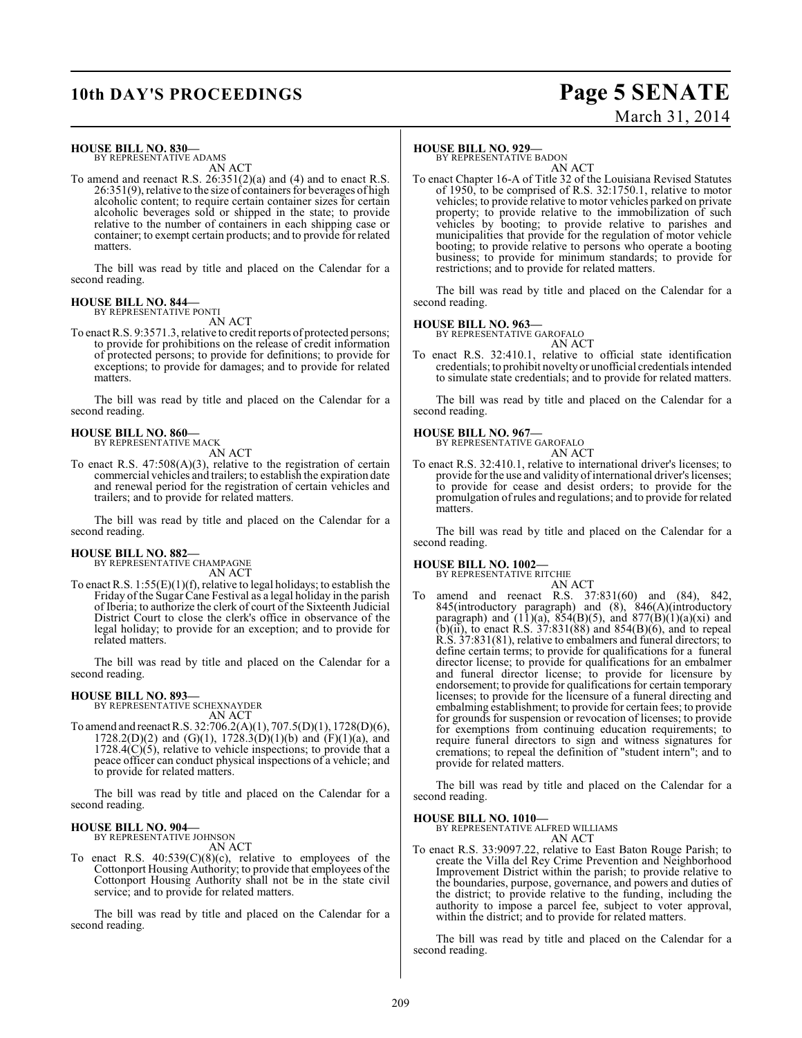## **10th DAY'S PROCEEDINGS Page 5 SENATE**

# March 31, 2014

### **HOUSE BILL NO. 830—**

BY REPRESENTATIVE ADAMS AN ACT

To amend and reenact R.S. 26:351(2)(a) and (4) and to enact R.S. 26:351(9), relative to the size of containers for beverages of high alcoholic content; to require certain container sizes for certain alcoholic beverages sold or shipped in the state; to provide relative to the number of containers in each shipping case or container; to exempt certain products; and to provide for related matters.

The bill was read by title and placed on the Calendar for a second reading.

### **HOUSE BILL NO. 844—** BY REPRESENTATIVE PONTI

AN ACT

To enact R.S. 9:3571.3, relative to credit reports of protected persons; to provide for prohibitions on the release of credit information of protected persons; to provide for definitions; to provide for exceptions; to provide for damages; and to provide for related matters.

The bill was read by title and placed on the Calendar for a second reading.

### **HOUSE BILL NO. 860—** BY REPRESENTATIVE MACK

AN ACT

To enact R.S. 47:508(A)(3), relative to the registration of certain commercial vehicles and trailers; to establish the expiration date and renewal period for the registration of certain vehicles and trailers; and to provide for related matters.

The bill was read by title and placed on the Calendar for a second reading.

### **HOUSE BILL NO. 882—**

BY REPRESENTATIVE CHAMPAGNE AN ACT

To enact R.S.  $1:55(E)(1)(f)$ , relative to legal holidays; to establish the Friday of the Sugar Cane Festival as a legal holiday in the parish of Iberia; to authorize the clerk of court of the Sixteenth Judicial District Court to close the clerk's office in observance of the legal holiday; to provide for an exception; and to provide for related matters.

The bill was read by title and placed on the Calendar for a second reading.

### **HOUSE BILL NO. 893—**

BY REPRESENTATIVE SCHEXNAYDER AN ACT

To amend and reenact R.S. 32:706.2(A)(1), 707.5(D)(1), 1728(D)(6),  $1728.2(D)(2)$  and  $(G)(1)$ ,  $1728.3(D)(1)(b)$  and  $(F)(1)(a)$ , and  $1728.4(C)(5)$ , relative to vehicle inspections; to provide that a peace officer can conduct physical inspections of a vehicle; and to provide for related matters.

The bill was read by title and placed on the Calendar for a second reading.

### **HOUSE BILL NO. 904—**

BY REPRESENTATIVE JOHNSON AN ACT

To enact R.S.  $40:539(C)(8)(c)$ , relative to employees of the Cottonport Housing Authority; to provide that employees of the Cottonport Housing Authority shall not be in the state civil service; and to provide for related matters.

The bill was read by title and placed on the Calendar for a second reading.

### **HOUSE BILL NO. 929—**

BY REPRESENTATIVE BADON

AN ACT To enact Chapter 16-A of Title 32 of the Louisiana Revised Statutes of 1950, to be comprised of R.S. 32:1750.1, relative to motor vehicles; to provide relative to motor vehicles parked on private property; to provide relative to the immobilization of such vehicles by booting; to provide relative to parishes and municipalities that provide for the regulation of motor vehicle booting; to provide relative to persons who operate a booting business; to provide for minimum standards; to provide for restrictions; and to provide for related matters.

The bill was read by title and placed on the Calendar for a second reading.

**HOUSE BILL NO. 963—** BY REPRESENTATIVE GAROFALO

AN ACT To enact R.S. 32:410.1, relative to official state identification credentials; to prohibit novelty or unofficial credentials intended to simulate state credentials; and to provide for related matters.

The bill was read by title and placed on the Calendar for a second reading.

## **HOUSE BILL NO. 967—** BY REPRESENTATIVE GAROFALO

AN ACT

To enact R.S. 32:410.1, relative to international driver's licenses; to provide for the use and validity of international driver's licenses; to provide for cease and desist orders; to provide for the promulgation of rules and regulations; and to provide for related matters.

The bill was read by title and placed on the Calendar for a second reading.

### **HOUSE BILL NO. 1002—**

BY REPRESENTATIVE RITCHIE

AN ACT To amend and reenact R.S. 37:831(60) and (84), 842, 845(introductory paragraph) and (8), 846(A)(introductory paragraph) and  $(11)(a)$ ,  $854(B)(5)$ , and  $877(B)(1)(a)(xi)$  and (b)(ii), to enact R.S.  $37:831(88)$  and  $854(B)(6)$ , and to repeal R.S. 37:831(81), relative to embalmers and funeral directors; to define certain terms; to provide for qualifications for a funeral director license; to provide for qualifications for an embalmer and funeral director license; to provide for licensure by endorsement; to provide for qualifications for certain temporary licenses; to provide for the licensure of a funeral directing and embalming establishment; to provide for certain fees; to provide for grounds for suspension or revocation of licenses; to provide for exemptions from continuing education requirements; to require funeral directors to sign and witness signatures for cremations; to repeal the definition of "student intern"; and to provide for related matters.

The bill was read by title and placed on the Calendar for a second reading.

### **HOUSE BILL NO. 1010—**

BY REPRESENTATIVE ALFRED WILLIAMS

AN ACT

To enact R.S. 33:9097.22, relative to East Baton Rouge Parish; to create the Villa del Rey Crime Prevention and Neighborhood Improvement District within the parish; to provide relative to the boundaries, purpose, governance, and powers and duties of the district; to provide relative to the funding, including the authority to impose a parcel fee, subject to voter approval, within the district; and to provide for related matters.

The bill was read by title and placed on the Calendar for a second reading.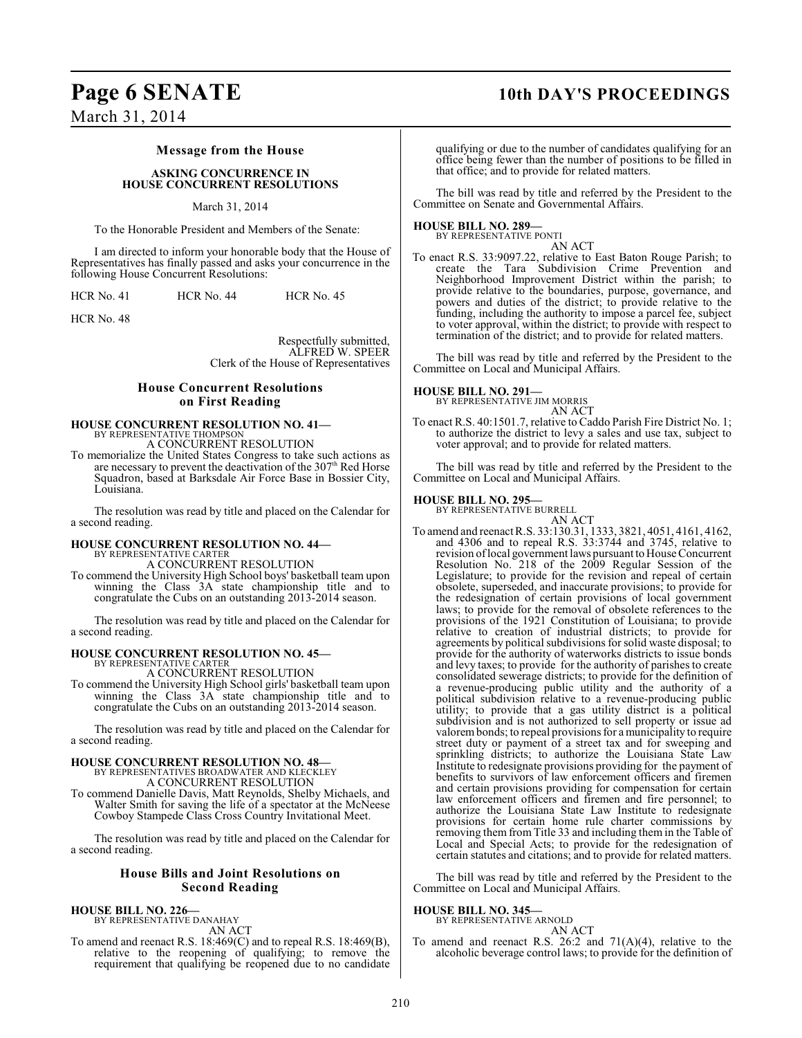## **Page 6 SENATE 10th DAY'S PROCEEDINGS**

March 31, 2014

### **Message from the House**

### **ASKING CONCURRENCE IN HOUSE CONCURRENT RESOLUTIONS**

### March 31, 2014

To the Honorable President and Members of the Senate:

I am directed to inform your honorable body that the House of Representatives has finally passed and asks your concurrence in the following House Concurrent Resolutions:

| <b>HCR No. 41</b> | <b>HCR No. 44</b> | <b>HCR No. 45</b> |
|-------------------|-------------------|-------------------|
|                   |                   |                   |

HCR No. 48

Respectfully submitted, ALFRED W. SPEER Clerk of the House of Representatives

### **House Concurrent Resolutions on First Reading**

### **HOUSE CONCURRENT RESOLUTION NO. 41—** BY REPRESENTATIVE THOMPSO

A CONCURRENT RESOLUTION

To memorialize the United States Congress to take such actions as are necessary to prevent the deactivation of the 307<sup>th</sup> Red Horse Squadron, based at Barksdale Air Force Base in Bossier City, Louisiana<sup>®</sup>

The resolution was read by title and placed on the Calendar for a second reading.

## **HOUSE CONCURRENT RESOLUTION NO. 44—** BY REPRESENTATIVE CARTER

A CONCURRENT RESOLUTION

To commend the University High School boys' basketball team upon winning the Class 3A state championship title and to congratulate the Cubs on an outstanding 2013-2014 season.

The resolution was read by title and placed on the Calendar for a second reading.

### **HOUSE CONCURRENT RESOLUTION NO. 45—**

BY REPRESENTATIVE CARTER A CONCURRENT RESOLUTION

To commend the University High School girls' basketball team upon winning the Class 3A state championship title and to congratulate the Cubs on an outstanding 2013-2014 season.

The resolution was read by title and placed on the Calendar for a second reading.

### **HOUSE CONCURRENT RESOLUTION NO. 48—** BY REPRESENTATIVES BROADWATER AND KLECKLEY A CONCURRENT RESOLUTION

To commend Danielle Davis, Matt Reynolds, Shelby Michaels, and Walter Smith for saving the life of a spectator at the McNeese Cowboy Stampede Class Cross Country Invitational Meet.

The resolution was read by title and placed on the Calendar for a second reading.

### **House Bills and Joint Resolutions on Second Reading**

## **HOUSE BILL NO. 226—** BY REPRESENTATIVE DANAHAY

AN ACT

To amend and reenact R.S. 18:469(C) and to repeal R.S. 18:469(B), relative to the reopening of qualifying; to remove the requirement that qualifying be reopened due to no candidate qualifying or due to the number of candidates qualifying for an office being fewer than the number of positions to be filled in that office; and to provide for related matters.

The bill was read by title and referred by the President to the Committee on Senate and Governmental Affairs.

### **HOUSE BILL NO. 289—**

BY REPRESENTATIVE PONTI AN ACT

To enact R.S. 33:9097.22, relative to East Baton Rouge Parish; to create the Tara Subdivision Crime Prevention and Neighborhood Improvement District within the parish; to provide relative to the boundaries, purpose, governance, and powers and duties of the district; to provide relative to the funding, including the authority to impose a parcel fee, subject to voter approval, within the district; to provide with respect to termination of the district; and to provide for related matters.

The bill was read by title and referred by the President to the Committee on Local and Municipal Affairs.

### **HOUSE BILL NO. 291—**

BY REPRESENTATIVE JIM MORRIS AN ACT

To enact R.S. 40:1501.7, relative to Caddo Parish Fire District No. 1; to authorize the district to levy a sales and use tax, subject to voter approval; and to provide for related matters.

The bill was read by title and referred by the President to the Committee on Local and Municipal Affairs.

### **HOUSE BILL NO. 295—**

BY REPRESENTATIVE BURRELL

AN ACT To amend and reenactR.S. 33:130.31, 1333, 3821, 4051, 4161, 4162, and 4306 and to repeal R.S. 33:3744 and 3745, relative to revision of local government laws pursuant to House Concurrent Resolution No. 218 of the 2009 Regular Session of the Legislature; to provide for the revision and repeal of certain obsolete, superseded, and inaccurate provisions; to provide for the redesignation of certain provisions of local government laws; to provide for the removal of obsolete references to the provisions of the 1921 Constitution of Louisiana; to provide relative to creation of industrial districts; to provide for agreements by political subdivisions for solid waste disposal; to provide for the authority of waterworks districts to issue bonds and levy taxes; to provide for the authority of parishes to create consolidated sewerage districts; to provide for the definition of a revenue-producing public utility and the authority of a political subdivision relative to a revenue-producing public utility; to provide that a gas utility district is a political subdivision and is not authorized to sell property or issue ad valorem bonds; to repeal provisions for a municipality to require street duty or payment of a street tax and for sweeping and sprinkling districts; to authorize the Louisiana State Law Institute to redesignate provisions providing for the payment of benefits to survivors of law enforcement officers and firemen and certain provisions providing for compensation for certain law enforcement officers and firemen and fire personnel; to authorize the Louisiana State Law Institute to redesignate provisions for certain home rule charter commissions by removing them from Title 33 and including them in the Table of Local and Special Acts; to provide for the redesignation of certain statutes and citations; and to provide for related matters.

The bill was read by title and referred by the President to the Committee on Local and Municipal Affairs.

### **HOUSE BILL NO. 345—**

BY REPRESENTATIVE ARNOLD

AN ACT To amend and reenact R.S. 26:2 and  $71(A)(4)$ , relative to the alcoholic beverage control laws; to provide for the definition of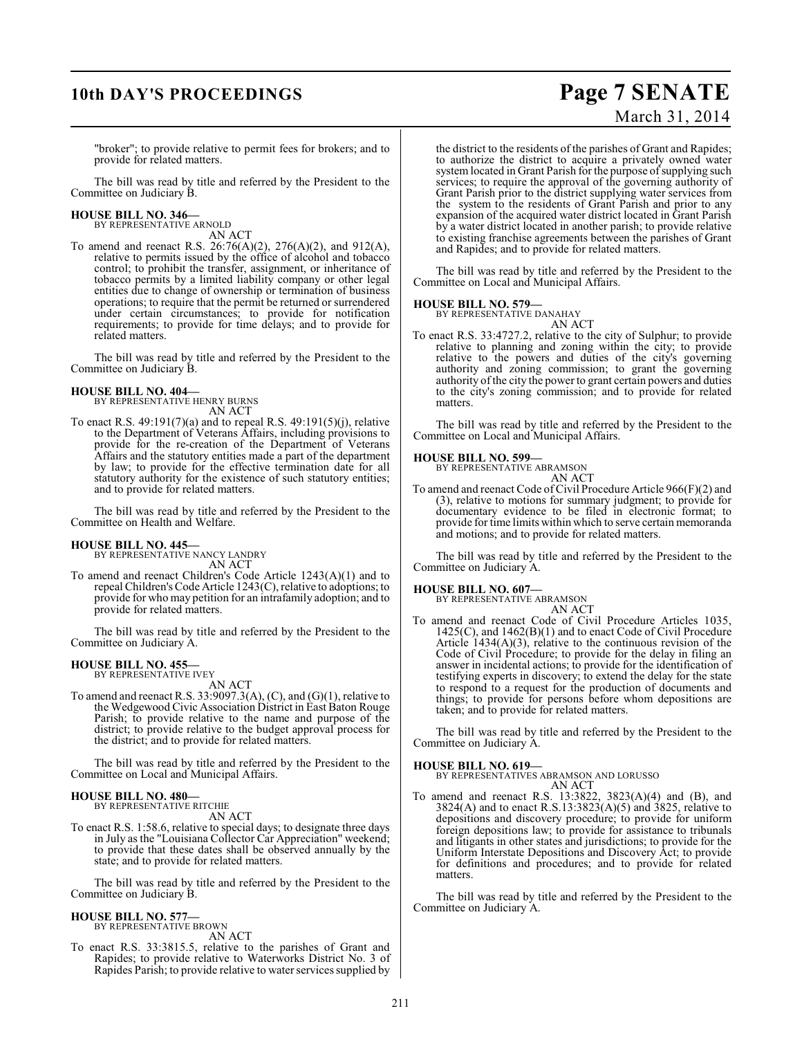## **10th DAY'S PROCEEDINGS Page 7 SENATE**

# March 31, 2014

"broker"; to provide relative to permit fees for brokers; and to provide for related matters.

The bill was read by title and referred by the President to the Committee on Judiciary B.

## **HOUSE BILL NO. 346—** BY REPRESENTATIVE ARNOLD

AN ACT

To amend and reenact R.S. 26:76(A)(2), 276(A)(2), and 912(A), relative to permits issued by the office of alcohol and tobacco control; to prohibit the transfer, assignment, or inheritance of tobacco permits by a limited liability company or other legal entities due to change of ownership or termination of business operations; to require that the permit be returned or surrendered under certain circumstances; to provide for notification requirements; to provide for time delays; and to provide for related matters.

The bill was read by title and referred by the President to the Committee on Judiciary B.

### **HOUSE BILL NO. 404—**

BY REPRESENTATIVE HENRY BURNS AN ACT

To enact R.S. 49:191(7)(a) and to repeal R.S. 49:191(5)(j), relative to the Department of Veterans Affairs, including provisions to provide for the re-creation of the Department of Veterans Affairs and the statutory entities made a part of the department by law; to provide for the effective termination date for all statutory authority for the existence of such statutory entities; and to provide for related matters.

The bill was read by title and referred by the President to the Committee on Health and Welfare.

### **HOUSE BILL NO. 445—**

BY REPRESENTATIVE NANCY LANDRY AN ACT

To amend and reenact Children's Code Article 1243(A)(1) and to repeal Children's Code Article 1243(C), relative to adoptions; to provide for who may petition for an intrafamily adoption; and to provide for related matters.

The bill was read by title and referred by the President to the Committee on Judiciary A.

### **HOUSE BILL NO. 455—** BY REPRESENTATIVE IVEY

AN ACT

To amend and reenact R.S. 33:9097.3(A),  $(C)$ , and  $(G)(1)$ , relative to the Wedgewood Civic Association District in East Baton Rouge Parish; to provide relative to the name and purpose of the district; to provide relative to the budget approval process for the district; and to provide for related matters.

The bill was read by title and referred by the President to the Committee on Local and Municipal Affairs.

### **HOUSE BILL NO. 480—**

BY REPRESENTATIVE RITCHIE AN ACT

To enact R.S. 1:58.6, relative to special days; to designate three days in July as the "Louisiana Collector Car Appreciation" weekend; to provide that these dates shall be observed annually by the state; and to provide for related matters.

The bill was read by title and referred by the President to the Committee on Judiciary B.

### **HOUSE BILL NO. 577—**

BY REPRESENTATIVE BROWN AN ACT

To enact R.S. 33:3815.5, relative to the parishes of Grant and Rapides; to provide relative to Waterworks District No. 3 of Rapides Parish; to provide relative to water services supplied by the district to the residents of the parishes of Grant and Rapides; to authorize the district to acquire a privately owned water system located in Grant Parish for the purpose of supplying such services; to require the approval of the governing authority of Grant Parish prior to the district supplying water services from the system to the residents of Grant Parish and prior to any expansion of the acquired water district located in Grant Parish by a water district located in another parish; to provide relative to existing franchise agreements between the parishes of Grant and Rapides; and to provide for related matters.

The bill was read by title and referred by the President to the Committee on Local and Municipal Affairs.

### **HOUSE BILL NO. 579—**

BY REPRESENTATIVE DANAHAY AN ACT

To enact R.S. 33:4727.2, relative to the city of Sulphur; to provide relative to planning and zoning within the city; to provide relative to the powers and duties of the city's governing authority and zoning commission; to grant the governing authority of the city the power to grant certain powers and duties to the city's zoning commission; and to provide for related matters.

The bill was read by title and referred by the President to the Committee on Local and Municipal Affairs.

**HOUSE BILL NO. 599—** BY REPRESENTATIVE ABRAMSON

AN ACT To amend and reenact Code of Civil Procedure Article 966(F)(2) and (3), relative to motions for summary judgment; to provide for documentary evidence to be filed in electronic format; to provide for time limits within which to serve certain memoranda and motions; and to provide for related matters.

The bill was read by title and referred by the President to the Committee on Judiciary A.

**HOUSE BILL NO. 607—** BY REPRESENTATIVE ABRAMSON

- AN ACT
- To amend and reenact Code of Civil Procedure Articles 1035, 1425(C), and 1462(B)(1) and to enact Code of Civil Procedure Article  $(1434(A)(3))$ , relative to the continuous revision of the Code of Civil Procedure; to provide for the delay in filing an answer in incidental actions; to provide for the identification of testifying experts in discovery; to extend the delay for the state to respond to a request for the production of documents and things; to provide for persons before whom depositions are taken; and to provide for related matters.

The bill was read by title and referred by the President to the Committee on Judiciary A.

**HOUSE BILL NO. 619—** BY REPRESENTATIVES ABRAMSON AND LORUSSO AN ACT

To amend and reenact R.S. 13:3822, 3823(A)(4) and (B), and 3824(A) and to enact R.S.13:3823(A)(5) and 3825, relative to depositions and discovery procedure; to provide for uniform foreign depositions law; to provide for assistance to tribunals and litigants in other states and jurisdictions; to provide for the Uniform Interstate Depositions and Discovery Act; to provide for definitions and procedures; and to provide for related matters.

The bill was read by title and referred by the President to the Committee on Judiciary A.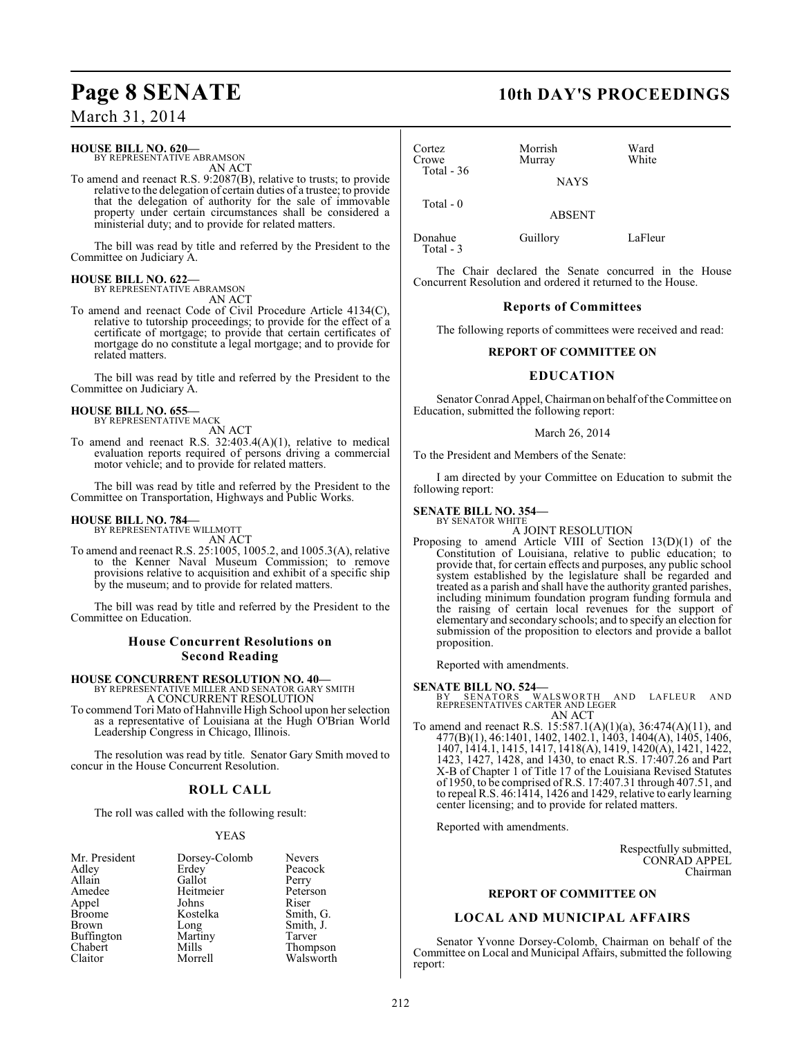### **HOUSE BILL NO. 620—**

BY REPRESENTATIVE ABRAMSON AN ACT

To amend and reenact R.S. 9:2087(B), relative to trusts; to provide relative to the delegation of certain duties of a trustee; to provide that the delegation of authority for the sale of immovable property under certain circumstances shall be considered a ministerial duty; and to provide for related matters.

The bill was read by title and referred by the President to the Committee on Judiciary A.

### **HOUSE BILL NO. 622—** BY REPRESENTATIVE ABRAMSON

AN ACT

To amend and reenact Code of Civil Procedure Article 4134(C), relative to tutorship proceedings; to provide for the effect of a certificate of mortgage; to provide that certain certificates of mortgage do no constitute a legal mortgage; and to provide for related matters.

The bill was read by title and referred by the President to the Committee on Judiciary A.

### **HOUSE BILL NO. 655—**

BY REPRESENTATIVE MACK

AN ACT To amend and reenact R.S. 32:403.4(A)(1), relative to medical evaluation reports required of persons driving a commercial motor vehicle; and to provide for related matters.

The bill was read by title and referred by the President to the Committee on Transportation, Highways and Public Works.

## **HOUSE BILL NO. 784—** BY REPRESENTATIVE WILLMOTT

AN ACT

To amend and reenact R.S. 25:1005, 1005.2, and 1005.3(A), relative to the Kenner Naval Museum Commission; to remove provisions relative to acquisition and exhibit of a specific ship by the museum; and to provide for related matters.

The bill was read by title and referred by the President to the Committee on Education.

### **House Concurrent Resolutions on Second Reading**

## **HOUSE CONCURRENT RESOLUTION NO. 40—** BY REPRESENTATIVE MILLER AND SENATOR GARY SMITH

A CONCURRENT RESOLUTION

To commend Tori Mato of Hahnville High School upon her selection as a representative of Louisiana at the Hugh O'Brian World Leadership Congress in Chicago, Illinois.

The resolution was read by title. Senator Gary Smith moved to concur in the House Concurrent Resolution.

### **ROLL CALL**

The roll was called with the following result:

### YEAS

| Mr. President | Dorsey-Colomb | <b>Nevers</b> |
|---------------|---------------|---------------|
| Adley         | Erdey         | Peacock       |
| Allain        | Gallot        | Perry         |
| Amedee        | Heitmeier     | Peterson      |
| Appel         | Johns         | Riser         |
| <b>Broome</b> | Kostelka      | Smith, G.     |
| Brown         | Long          | Smith, J.     |
| Buffington    | Martiny       | Tarver        |
| Chabert       | Mills         | Thompson      |
| Claitor       | Morrell       | Walsworth     |

## **Page 8 SENATE 10th DAY'S PROCEEDINGS**

| Cortez<br>Crowe<br>Total $-36$ | Morrish<br>Murray | Ward<br>White |
|--------------------------------|-------------------|---------------|
|                                | <b>NAYS</b>       |               |
| Total - 0                      | <b>ABSENT</b>     |               |

Donahue Guillory LaFleur Total - 3

The Chair declared the Senate concurred in the House Concurrent Resolution and ordered it returned to the House.

### **Reports of Committees**

The following reports of committees were received and read:

### **REPORT OF COMMITTEE ON**

### **EDUCATION**

Senator Conrad Appel, Chairman on behalf of the Committee on Education, submitted the following report:

### March 26, 2014

To the President and Members of the Senate:

I am directed by your Committee on Education to submit the following report:

### **SENATE BILL NO. 354—**

BY SENATOR WHITE

- A JOINT RESOLUTION
- Proposing to amend Article VIII of Section 13(D)(1) of the Constitution of Louisiana, relative to public education; to provide that, for certain effects and purposes, any public school system established by the legislature shall be regarded and treated as a parish and shall have the authority granted parishes, including minimum foundation program funding formula and the raising of certain local revenues for the support of elementary and secondary schools; and to specify an election for submission of the proposition to electors and provide a ballot proposition.

Reported with amendments.

### **SENATE BILL NO. 524—**

BY SENATORS WALSWORTH AND LAFLEUR AND<br>REPRESENTATIVES CARTER AND LEGER AN ACT

To amend and reenact R.S. 15:587.1(A)(1)(a), 36:474(A)(11), and 477(B)(1), 46:1401, 1402, 1402.1, 1403, 1404(A), 1405, 1406, 1407, 1414.1, 1415, 1417, 1418(A), 1419, 1420(A), 1421, 1422, 1423, 1427, 1428, and 1430, to enact R.S. 17:407.26 and Part X-B of Chapter 1 of Title 17 of the Louisiana Revised Statutes of 1950, to be comprised of R.S. 17:407.31 through 407.51, and to repeal R.S. 46:1414, 1426 and 1429, relative to early learning center licensing; and to provide for related matters.

Reported with amendments.

Respectfully submitted, CONRAD APPEL Chairman

### **REPORT OF COMMITTEE ON**

### **LOCAL AND MUNICIPAL AFFAIRS**

Senator Yvonne Dorsey-Colomb, Chairman on behalf of the Committee on Local and Municipal Affairs, submitted the following report: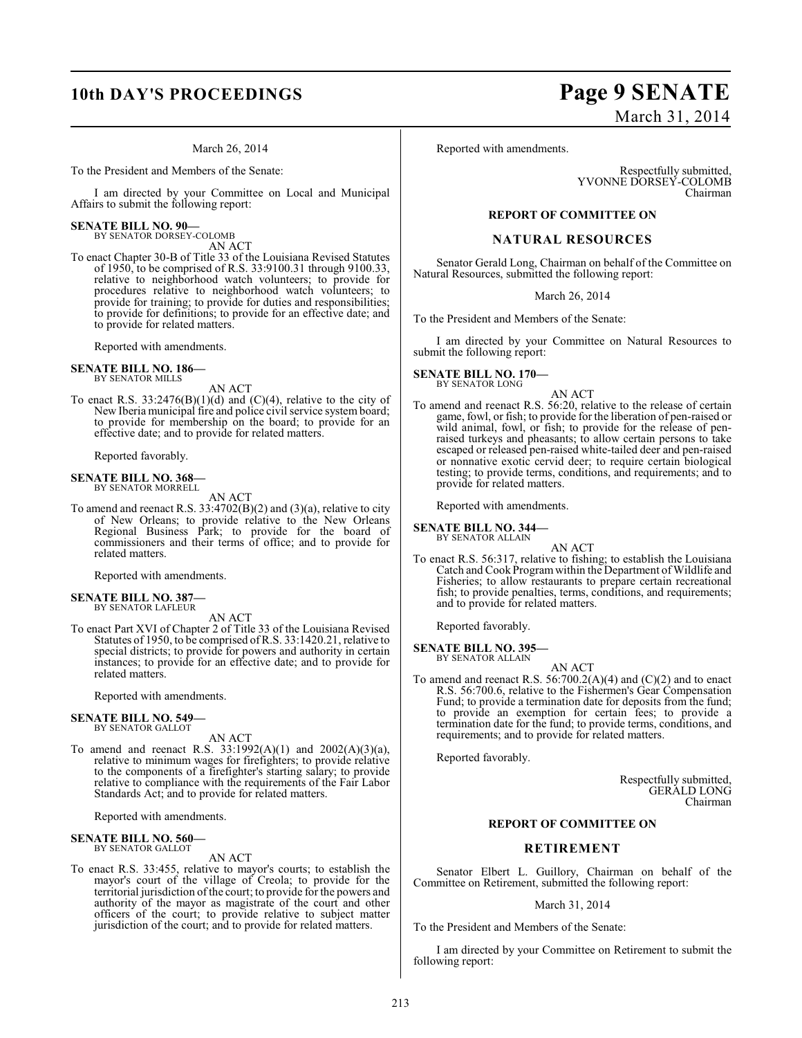## **10th DAY'S PROCEEDINGS Page 9 SENATE**

### March 26, 2014

To the President and Members of the Senate:

I am directed by your Committee on Local and Municipal Affairs to submit the following report:

### **SENATE BILL NO. 90—**

BY SENATOR DORSEY-COLOMB AN ACT

To enact Chapter 30-B of Title 33 of the Louisiana Revised Statutes of 1950, to be comprised of R.S. 33:9100.31 through 9100.33, relative to neighborhood watch volunteers; to provide for procedures relative to neighborhood watch volunteers; to provide for training; to provide for duties and responsibilities; to provide for definitions; to provide for an effective date; and to provide for related matters.

Reported with amendments.

### **SENATE BILL NO. 186—** BY SENATOR MILLS

AN ACT

To enact R.S.  $33:2476(B)(1)(d)$  and  $(C)(4)$ , relative to the city of New Iberia municipal fire and police civil service system board; to provide for membership on the board; to provide for an effective date; and to provide for related matters.

Reported favorably.

### **SENATE BILL NO. 368—** BY SENATOR MORRELL

AN ACT

To amend and reenact R.S. 33:4702(B)(2) and (3)(a), relative to city of New Orleans; to provide relative to the New Orleans Regional Business Park; to provide for the board of commissioners and their terms of office; and to provide for related matters.

Reported with amendments.

### **SENATE BILL NO. 387—** BY SENATOR LAFLEUR

AN ACT

To enact Part XVI of Chapter 2 of Title 33 of the Louisiana Revised Statutes of 1950, to be comprised of R.S. 33:1420.21, relative to special districts; to provide for powers and authority in certain instances; to provide for an effective date; and to provide for related matters.

Reported with amendments.

### **SENATE BILL NO. 549—** BY SENATOR GALLOT

AN ACT

To amend and reenact R.S. 33:1992(A)(1) and 2002(A)(3)(a), relative to minimum wages for firefighters; to provide relative to the components of a firefighter's starting salary; to provide relative to compliance with the requirements of the Fair Labor Standards Act; and to provide for related matters.

Reported with amendments.

## **SENATE BILL NO. 560—** BY SENATOR GALLOT

AN ACT

To enact R.S. 33:455, relative to mayor's courts; to establish the mayor's court of the village of Creola; to provide for the territorial jurisdiction of the court; to provide for the powers and authority of the mayor as magistrate of the court and other officers of the court; to provide relative to subject matter jurisdiction of the court; and to provide for related matters.

# March 31, 2014

Reported with amendments.

Respectfully submitted, YVONNE DORSEY-COLOMB Chairman

### **REPORT OF COMMITTEE ON**

### **NATURAL RESOURCES**

Senator Gerald Long, Chairman on behalf of the Committee on Natural Resources, submitted the following report:

March 26, 2014

To the President and Members of the Senate:

I am directed by your Committee on Natural Resources to submit the following report:

**SENATE BILL NO. 170—** BY SENATOR LONG

AN ACT

To amend and reenact R.S. 56:20, relative to the release of certain game, fowl, or fish; to provide for the liberation of pen-raised or wild animal, fowl, or fish; to provide for the release of penraised turkeys and pheasants; to allow certain persons to take escaped or released pen-raised white-tailed deer and pen-raised or nonnative exotic cervid deer; to require certain biological testing; to provide terms, conditions, and requirements; and to provide for related matters.

Reported with amendments.

**SENATE BILL NO. 344—** BY SENATOR ALLAIN

AN ACT

To enact R.S. 56:317, relative to fishing; to establish the Louisiana Catch and Cook Program within the Department of Wildlife and Fisheries; to allow restaurants to prepare certain recreational fish; to provide penalties, terms, conditions, and requirements; and to provide for related matters.

Reported favorably.

**SENATE BILL NO. 395—** BY SENATOR ALLAIN

AN ACT

To amend and reenact R.S.  $56:700.2(A)(4)$  and  $(C)(2)$  and to enact R.S. 56:700.6, relative to the Fishermen's Gear Compensation Fund; to provide a termination date for deposits from the fund; to provide an exemption for certain fees; to provide a termination date for the fund; to provide terms, conditions, and requirements; and to provide for related matters.

Reported favorably.

Respectfully submitted, GERALD LONG Chairman

### **REPORT OF COMMITTEE ON**

### **RETIREMENT**

Senator Elbert L. Guillory, Chairman on behalf of the Committee on Retirement, submitted the following report:

### March 31, 2014

To the President and Members of the Senate:

I am directed by your Committee on Retirement to submit the following report: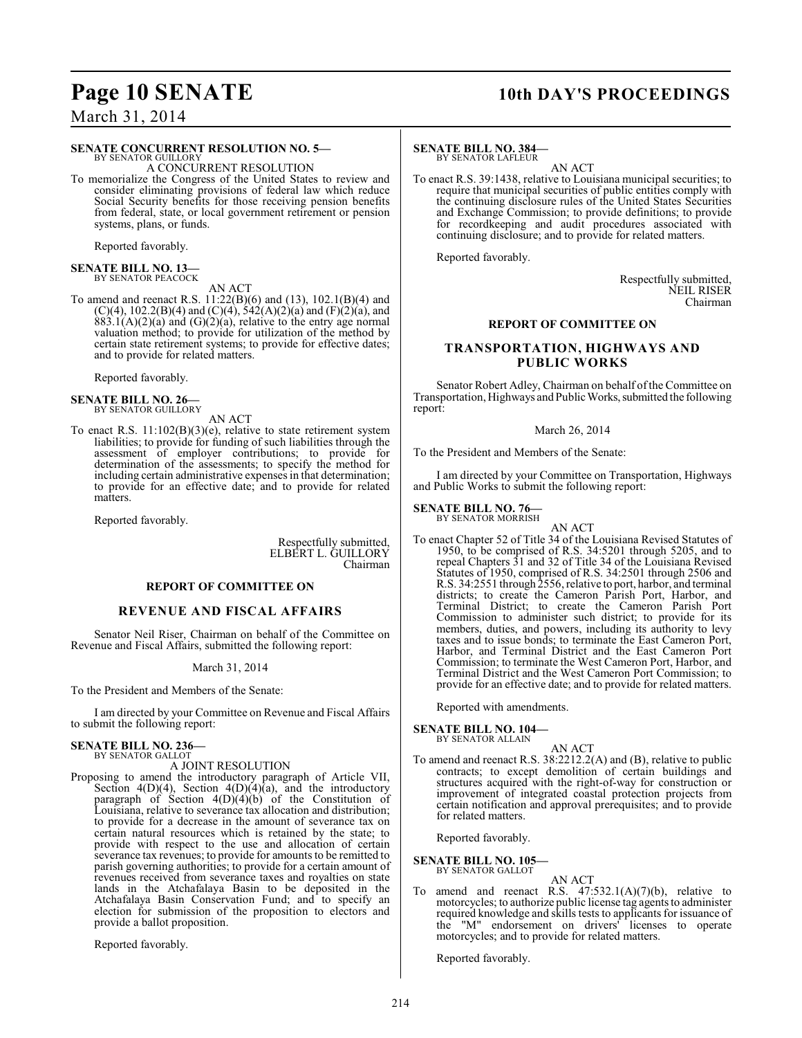## **Page 10 SENATE** 10th DAY'S PROCEEDINGS

## March 31, 2014

### **SENATE CONCURRENT RESOLUTION NO. 5—**

BY SENATOR GUILLORY A CONCURRENT RESOLUTION

To memorialize the Congress of the United States to review and consider eliminating provisions of federal law which reduce Social Security benefits for those receiving pension benefits from federal, state, or local government retirement or pension systems, plans, or funds.

Reported favorably.

## **SENATE BILL NO. 13—** BY SENATOR PEACOCK

AN ACT

To amend and reenact R.S. 11:22(B)(6) and (13), 102.1(B)(4) and  $(C)(4)$ , 102.2(B)(4) and  $(C)(4)$ , 542(A)(2)(a) and (F)(2)(a), and  $883.1(A)(2)(a)$  and  $(G)(2)(a)$ , relative to the entry age normal valuation method; to provide for utilization of the method by certain state retirement systems; to provide for effective dates; and to provide for related matters.

Reported favorably.

### **SENATE BILL NO. 26—** BY SENATOR GUILLORY

AN ACT

To enact R.S. 11:102(B)(3)(e), relative to state retirement system liabilities; to provide for funding of such liabilities through the assessment of employer contributions; to provide for determination of the assessments; to specify the method for including certain administrative expenses in that determination; to provide for an effective date; and to provide for related matters.

Reported favorably.

Respectfully submitted, ELBERT L. GUILLORY Chairman

### **REPORT OF COMMITTEE ON**

### **REVENUE AND FISCAL AFFAIRS**

Senator Neil Riser, Chairman on behalf of the Committee on Revenue and Fiscal Affairs, submitted the following report:

### March 31, 2014

To the President and Members of the Senate:

I am directed by your Committee on Revenue and Fiscal Affairs to submit the following report:

### **SENATE BILL NO. 236—** BY SENATOR GALLOT

A JOINT RESOLUTION

Proposing to amend the introductory paragraph of Article VII, Section 4(D)(4), Section 4(D)(4)(a), and the introductory paragraph of Section  $4(D)(4)(b)$  of the Constitution of Louisiana, relative to severance tax allocation and distribution; to provide for a decrease in the amount of severance tax on certain natural resources which is retained by the state; to provide with respect to the use and allocation of certain severance tax revenues; to provide for amounts to be remitted to parish governing authorities; to provide for a certain amount of revenues received from severance taxes and royalties on state lands in the Atchafalaya Basin to be deposited in the Atchafalaya Basin Conservation Fund; and to specify an election for submission of the proposition to electors and provide a ballot proposition.

Reported favorably.

### **SENATE BILL NO. 384—** BY SENATOR LAFLEUR

AN ACT

To enact R.S. 39:1438, relative to Louisiana municipal securities; to require that municipal securities of public entities comply with the continuing disclosure rules of the United States Securities and Exchange Commission; to provide definitions; to provide for recordkeeping and audit procedures associated with continuing disclosure; and to provide for related matters.

Reported favorably.

Respectfully submitted, NEIL RISER Chairman

### **REPORT OF COMMITTEE ON**

### **TRANSPORTATION, HIGHWAYS AND PUBLIC WORKS**

Senator Robert Adley, Chairman on behalf of the Committee on Transportation, Highways and Public Works, submitted the following report:

### March 26, 2014

To the President and Members of the Senate:

I am directed by your Committee on Transportation, Highways and Public Works to submit the following report:

### **SENATE BILL NO. 76—** BY SENATOR MORRISH

AN ACT

To enact Chapter 52 of Title 34 of the Louisiana Revised Statutes of 1950, to be comprised of R.S. 34:5201 through 5205, and to repeal Chapters 31 and 32 of Title 34 of the Louisiana Revised Statutes of 1950, comprised of R.S. 34:2501 through 2506 and R.S. 34:2551 through 2556, relative to port, harbor, and terminal districts; to create the Cameron Parish Port, Harbor, and Terminal District; to create the Cameron Parish Port Commission to administer such district; to provide for its members, duties, and powers, including its authority to levy taxes and to issue bonds; to terminate the East Cameron Port, Harbor, and Terminal District and the East Cameron Port Commission; to terminate the West Cameron Port, Harbor, and Terminal District and the West Cameron Port Commission; to provide for an effective date; and to provide for related matters.

Reported with amendments.

### **SENATE BILL NO. 104—** BY SENATOR ALLAIN

AN ACT To amend and reenact R.S. 38:2212.2(A) and (B), relative to public contracts; to except demolition of certain buildings and structures acquired with the right-of-way for construction or improvement of integrated coastal protection projects from certain notification and approval prerequisites; and to provide for related matters.

Reported favorably.

### **SENATE BILL NO. 105—** BY SENATOR GALLOT

AN ACT

To amend and reenact R.S.  $47:532.1(A)(7)(b)$ , relative to motorcycles; to authorize public license tag agents to administer required knowledge and skills tests to applicants for issuance of the "M" endorsement on drivers' licenses to operate motorcycles; and to provide for related matters.

Reported favorably.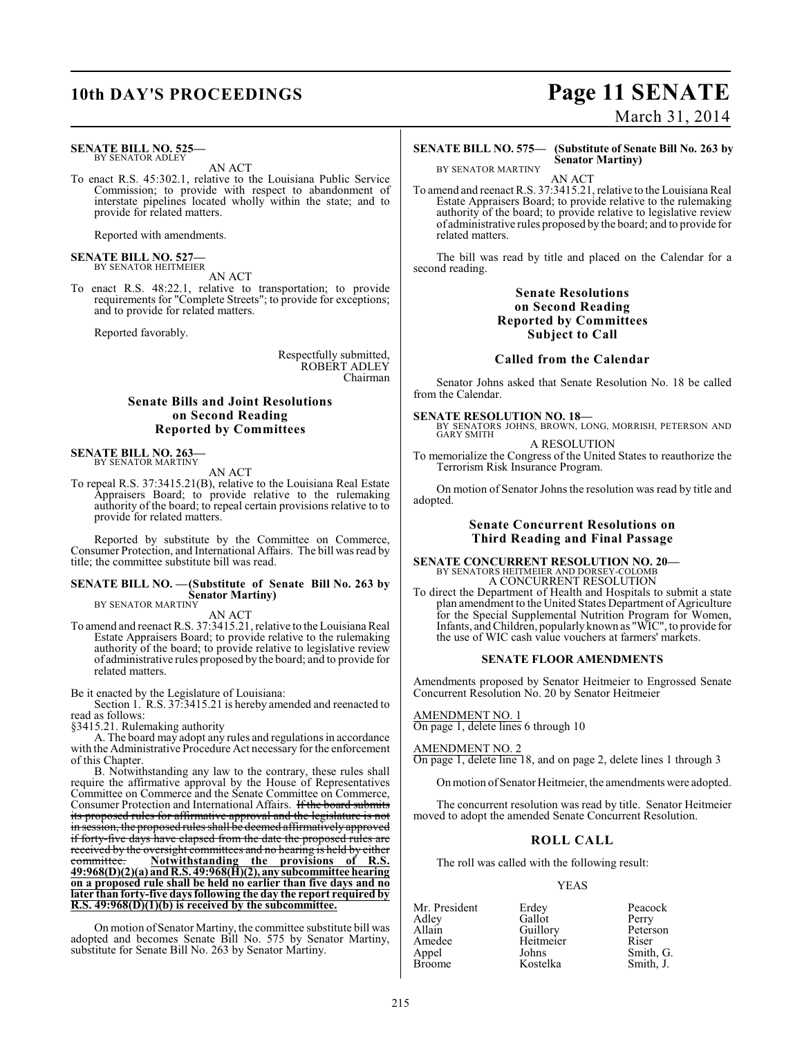### **SENATE BILL NO. 525—** BY SENATOR ADLEY

AN ACT

To enact R.S. 45:302.1, relative to the Louisiana Public Service Commission; to provide with respect to abandonment of interstate pipelines located wholly within the state; and to provide for related matters.

Reported with amendments.

## **SENATE BILL NO. 527—** BY SENATOR HEITMEIER

AN ACT To enact R.S. 48:22.1, relative to transportation; to provide requirements for "Complete Streets"; to provide for exceptions; and to provide for related matters.

Reported favorably.

Respectfully submitted, ROBERT ADLEY Chairman

### **Senate Bills and Joint Resolutions on Second Reading Reported by Committees**

**SENATE BILL NO. 263—** BY SENATOR MARTINY

AN ACT

To repeal R.S. 37:3415.21(B), relative to the Louisiana Real Estate Appraisers Board; to provide relative to the rulemaking authority of the board; to repeal certain provisions relative to to provide for related matters.

Reported by substitute by the Committee on Commerce, Consumer Protection, and International Affairs. The bill was read by title; the committee substitute bill was read.

### **SENATE BILL NO. —(Substitute of Senate Bill No. 263 by Senator Martiny)** BY SENATOR MARTINY

AN ACT

To amend and reenact R.S. 37:3415.21, relative to the Louisiana Real Estate Appraisers Board; to provide relative to the rulemaking authority of the board; to provide relative to legislative review of administrative rules proposed by the board; and to provide for related matters.

### Be it enacted by the Legislature of Louisiana:

Section 1. R.S. 37:3415.21 is hereby amended and reenacted to read as follows:

§3415.21. Rulemaking authority

A. The board may adopt any rules and regulations in accordance with the Administrative Procedure Act necessary for the enforcement of this Chapter.

B. Notwithstanding any law to the contrary, these rules shall require the affirmative approval by the House of Representatives Committee on Commerce and the Senate Committee on Commerce, Consumer Protection and International Affairs. If the board submits its proposed rules for affirmative approval and the legislature is not in session, the proposed rules shall be deemed affirmatively approved if forty-five days have elapsed from the date the proposed rules are received by the oversight committees and no hearing is held by either committee. Notwithstanding the provisions of R.S. Notwithstanding the provisions of R.S. **49:968(D)(2)(a) and R.S. 49:968(H)(2), any subcommittee hearing on a proposed rule shall be held no earlier than five days and no later than forty-five daysfollowing the day the report required by R.S. 49:968(D)(1)(b) is received by the subcommittee.**

On motion of Senator Martiny, the committee substitute bill was adopted and becomes Senate Bill No. 575 by Senator Martiny, substitute for Senate Bill No. 263 by Senator Martiny.

# **10th DAY'S PROCEEDINGS Page 11 SENATE**

March 31, 2014

**SENATE BILL NO. 575— (Substitute of Senate Bill No. 263 by Senator Martiny)**

BY SENATOR MARTINY AN ACT

To amend and reenact R.S. 37:3415.21, relative to the Louisiana Real Estate Appraisers Board; to provide relative to the rulemaking authority of the board; to provide relative to legislative review of administrative rules proposed by the board; and to provide for related matters.

The bill was read by title and placed on the Calendar for a second reading.

### **Senate Resolutions on Second Reading Reported by Committees Subject to Call**

### **Called from the Calendar**

Senator Johns asked that Senate Resolution No. 18 be called from the Calendar.

**SENATE RESOLUTION NO. 18—**<br>BY SENATORS JOHNS, BROWN, LONG, MORRISH, PETERSON AND<br>GARY SMITH

A RESOLUTION

To memorialize the Congress of the United States to reauthorize the Terrorism Risk Insurance Program.

On motion of Senator Johns the resolution was read by title and adopted.

### **Senate Concurrent Resolutions on Third Reading and Final Passage**

**SENATE CONCURRENT RESOLUTION NO. 20—** BY SENATORS HEITMEIER AND DORSEY-COLOMB A CONCURRENT RESOLUTION

To direct the Department of Health and Hospitals to submit a state plan amendment to the United States Department of Agriculture for the Special Supplemental Nutrition Program for Women, Infants, and Children, popularly known as "WIC", to provide for the use of WIC cash value vouchers at farmers' markets.

### **SENATE FLOOR AMENDMENTS**

Amendments proposed by Senator Heitmeier to Engrossed Senate Concurrent Resolution No. 20 by Senator Heitmeier

### AMENDMENT NO. 1

On page 1, delete lines 6 through 10

### AMENDMENT NO. 2

On page 1, delete line 18, and on page 2, delete lines 1 through 3

On motion of Senator Heitmeier, the amendments were adopted.

The concurrent resolution was read by title. Senator Heitmeier moved to adopt the amended Senate Concurrent Resolution.

### **ROLL CALL**

The roll was called with the following result:

### YEAS

| Mr. President | Erdey     | Peacock   |
|---------------|-----------|-----------|
| Adley         | Gallot    | Perry     |
| Allain        | Guillory  | Peterson  |
| Amedee        | Heitmeier | Riser     |
| Appel         | Johns     | Smith, G. |
| <b>Broome</b> | Kostelka  | Smith, J. |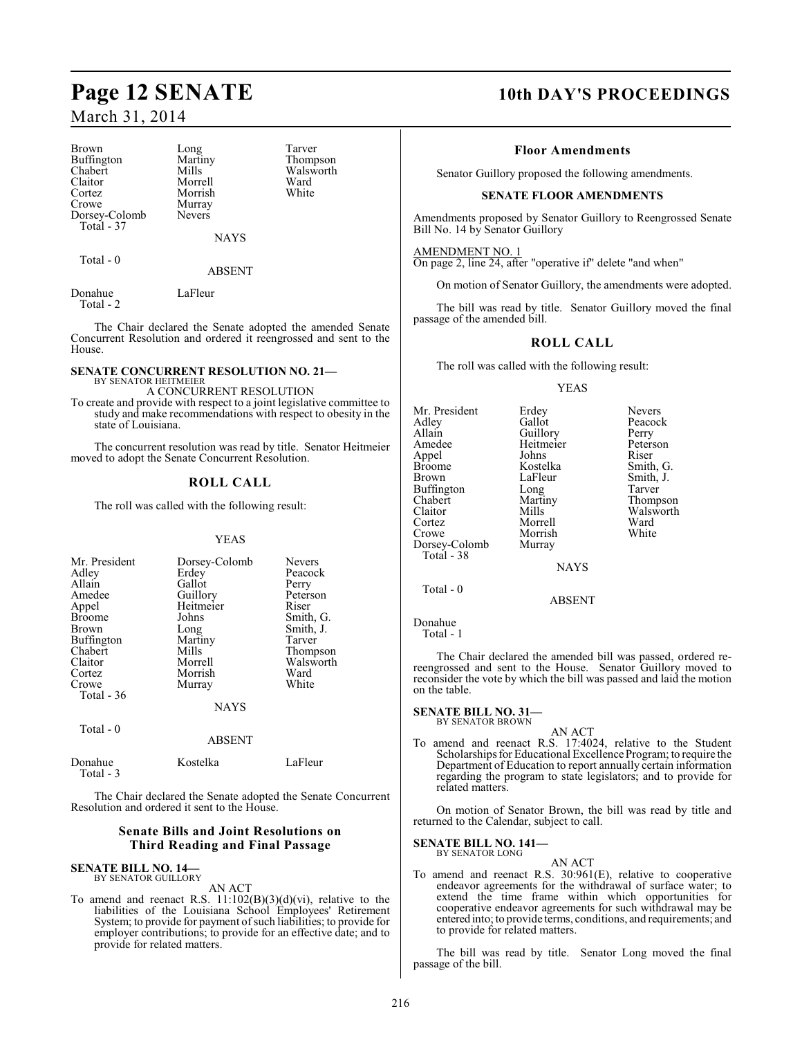Brown Long Tarver<br>
Buffington Martiny Thompson Buffington Martin<br>Chabert Mills Chabert Mills Walsworth<br>
Claitor Morrell Ward Claitor Morrell Ward<br>Cortez Morrish White Cortez Morrish<br>Crowe Murray Dorsey-Colomb Total - 37

Murray<br>Nevers

NAYS

Total - 0

### ABSENT

Donahue LaFleur Total - 2

The Chair declared the Senate adopted the amended Senate Concurrent Resolution and ordered it reengrossed and sent to the House.

### **SENATE CONCURRENT RESOLUTION NO. 21—** BY SENATOR HEITMEIER

A CONCURRENT RESOLUTION

To create and provide with respect to a joint legislative committee to study and make recommendations with respect to obesity in the state of Louisiana.

The concurrent resolution was read by title. Senator Heitmeier moved to adopt the Senate Concurrent Resolution.

### **ROLL CALL**

The roll was called with the following result:

### YEAS

| Mr. President<br>Adley<br>Allain<br>Amedee<br>Appel<br><b>Broome</b><br>Brown<br>Buffington<br>Chabert<br>Claitor<br>Cortez<br>Crowe<br>Total $-36$ | Dorsey-Colomb<br>Erdev<br>Gallot<br>Guillory<br>Heitmeier<br>Johns<br>Long<br>Martiny<br>Mills<br>Morrell<br>Morrish<br>Murray<br><b>NAYS</b> | <b>Nevers</b><br>Peacock<br>Perry<br>Peterson<br>Riser<br>Smith, G.<br>Smith, J.<br>Tarver<br>Thompson<br>Walsworth<br>Ward<br>White |
|-----------------------------------------------------------------------------------------------------------------------------------------------------|-----------------------------------------------------------------------------------------------------------------------------------------------|--------------------------------------------------------------------------------------------------------------------------------------|
| Total $-0$                                                                                                                                          | <b>ABSENT</b>                                                                                                                                 |                                                                                                                                      |
| Donahue                                                                                                                                             | Kostelka                                                                                                                                      | LaFleur                                                                                                                              |

Total - 3

The Chair declared the Senate adopted the Senate Concurrent Resolution and ordered it sent to the House.

### **Senate Bills and Joint Resolutions on Third Reading and Final Passage**

### **SENATE BILL NO. 14—** BY SENATOR GUILLORY

AN ACT

To amend and reenact R.S.  $11:102(B)(3)(d)(vi)$ , relative to the liabilities of the Louisiana School Employees' Retirement System; to provide for payment of such liabilities; to provide for employer contributions; to provide for an effective date; and to provide for related matters.

## **Page 12 SENATE 10th DAY'S PROCEEDINGS**

### **Floor Amendments**

Senator Guillory proposed the following amendments.

### **SENATE FLOOR AMENDMENTS**

Amendments proposed by Senator Guillory to Reengrossed Senate Bill No. 14 by Senator Guillory

AMENDMENT NO. 1 On page 2, line 24, after "operative if" delete "and when"

On motion of Senator Guillory, the amendments were adopted.

The bill was read by title. Senator Guillory moved the final passage of the amended bill.

### **ROLL CALL**

The roll was called with the following result:

### YEAS

| Mr. President | Erdey       | <b>Nevers</b> |
|---------------|-------------|---------------|
| Adley         | Gallot      | Peacock       |
| Allain        | Guillory    | Perry         |
| Amedee        | Heitmeier   | Peterson      |
| Appel         | Johns       | Riser         |
|               | Kostelka    |               |
| <b>Broome</b> |             | Smith, G.     |
| Brown         | LaFleur     | Smith, J.     |
| Buffington    | Long        | Tarver        |
| Chabert       | Martiny     | Thompson      |
| Claitor       | Mills       | Walswort      |
| Cortez        | Morrell     | Ward          |
| Crowe         | Morrish     | White         |
| Dorsey-Colomb | Murray      |               |
| Total - 38    |             |               |
|               | <b>NAYS</b> |               |
| Total - 0     |             |               |
|               | ADCDATT     |               |

ABSENT

Donahue Total - 1

The Chair declared the amended bill was passed, ordered rereengrossed and sent to the House. Senator Guillory moved to reconsider the vote by which the bill was passed and laid the motion on the table.

### **SENATE BILL NO. 31—** BY SENATOR BROWN

AN ACT

To amend and reenact R.S. 17:4024, relative to the Student Scholarships for Educational Excellence Program; to require the Department of Education to report annually certain information regarding the program to state legislators; and to provide for related matters.

On motion of Senator Brown, the bill was read by title and returned to the Calendar, subject to call.

### **SENATE BILL NO. 141—** BY SENATOR LONG

AN ACT

To amend and reenact R.S. 30:961(E), relative to cooperative endeavor agreements for the withdrawal of surface water; to extend the time frame within which opportunities for cooperative endeavor agreements for such withdrawal may be entered into; to provide terms, conditions, and requirements; and to provide for related matters.

The bill was read by title. Senator Long moved the final passage of the bill.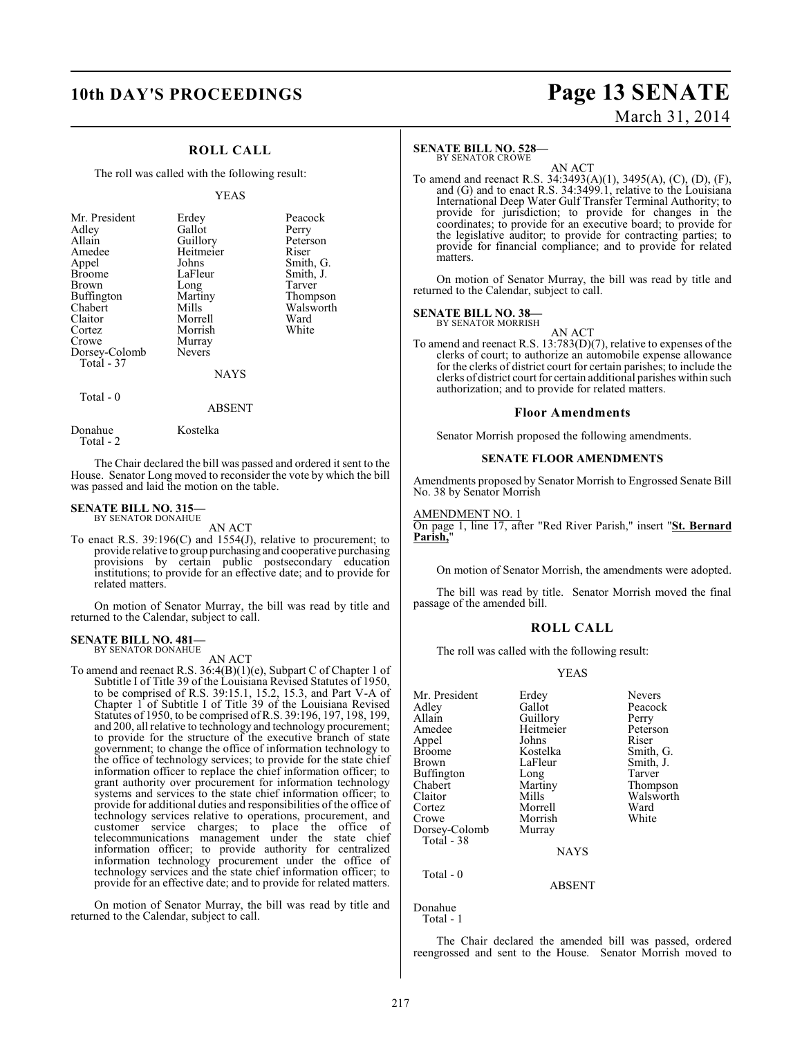## **10th DAY'S PROCEEDINGS Page 13 SENATE** March 31, 2014

### **ROLL CALL**

The roll was called with the following result:

### YEAS

| Mr. President<br>Adley<br>Allain<br>Amedee<br>Appel<br><b>Broome</b><br><b>Brown</b><br>Buffington<br>Chabert<br>Claitor<br>Cortez<br>Crowe<br>Dorsey-Colomb<br>Total - 37 | Erdey<br>Gallot<br>Guillory<br>Heitmeier<br>Johns<br>LaFleur<br>Long<br>Martiny<br>Mills<br>Morrell<br>Morrish<br>Murray<br><b>Nevers</b> | Peacock<br>Perry<br>Peterson<br>Riser<br>Smith, G.<br>Smith, J.<br>Tarver<br>Thompson<br>Walsworth<br>Ward<br>White |
|----------------------------------------------------------------------------------------------------------------------------------------------------------------------------|-------------------------------------------------------------------------------------------------------------------------------------------|---------------------------------------------------------------------------------------------------------------------|
|                                                                                                                                                                            | <b>NAYS</b>                                                                                                                               |                                                                                                                     |
|                                                                                                                                                                            |                                                                                                                                           |                                                                                                                     |

Total - 0

ABSENT

Donahue Kostelka Total - 2

The Chair declared the bill was passed and ordered it sent to the House. Senator Long moved to reconsider the vote by which the bill was passed and laid the motion on the table.

### **SENATE BILL NO. 315—** BY SENATOR DONAHUE

AN ACT

To enact R.S. 39:196(C) and 1554(J), relative to procurement; to provide relative to group purchasing and cooperative purchasing provisions by certain public postsecondary education institutions; to provide for an effective date; and to provide for related matters.

On motion of Senator Murray, the bill was read by title and returned to the Calendar, subject to call.

### **SENATE BILL NO. 481—** BY SENATOR DONAHUE

AN ACT

To amend and reenact R.S. 36:4(B)(1)(e), Subpart C of Chapter 1 of Subtitle I of Title 39 of the Louisiana Revised Statutes of 1950, to be comprised of R.S. 39:15.1, 15.2, 15.3, and Part V-A of Chapter 1 of Subtitle I of Title 39 of the Louisiana Revised Statutes of 1950, to be comprised ofR.S. 39:196, 197, 198, 199, and 200, all relative to technology and technology procurement; to provide for the structure of the executive branch of state government; to change the office of information technology to the office of technology services; to provide for the state chief information officer to replace the chief information officer; to grant authority over procurement for information technology systems and services to the state chief information officer; to provide for additional duties and responsibilities of the office of technology services relative to operations, procurement, and customer service charges; to place the office of telecommunications management under the state chief information officer; to provide authority for centralized information technology procurement under the office of technology services and the state chief information officer; to provide for an effective date; and to provide for related matters.

On motion of Senator Murray, the bill was read by title and returned to the Calendar, subject to call.

### **SENATE BILL NO. 528—**

BY SENATOR CROWE

AN ACT To amend and reenact R.S. 34:3493(A)(1), 3495(A), (C), (D), (F), and (G) and to enact R.S. 34:3499.1, relative to the Louisiana International Deep Water Gulf Transfer Terminal Authority; to provide for jurisdiction; to provide for changes in the coordinates; to provide for an executive board; to provide for the legislative auditor; to provide for contracting parties; to provide for financial compliance; and to provide for related matters.

On motion of Senator Murray, the bill was read by title and returned to the Calendar, subject to call.

### **SENATE BILL NO. 38—**

BY SENATOR MORRISH

AN ACT To amend and reenact R.S. 13:783(D)(7), relative to expenses of the clerks of court; to authorize an automobile expense allowance for the clerks of district court for certain parishes; to include the clerks of district court for certain additional parishes within such authorization; and to provide for related matters.

### **Floor Amendments**

Senator Morrish proposed the following amendments.

### **SENATE FLOOR AMENDMENTS**

Amendments proposed by Senator Morrish to Engrossed Senate Bill No. 38 by Senator Morrish

### AMENDMENT NO. 1

On page 1, line 17, after "Red River Parish," insert "**St. Bernard** Parish.

On motion of Senator Morrish, the amendments were adopted.

The bill was read by title. Senator Morrish moved the final passage of the amended bill.

### **ROLL CALL**

The roll was called with the following result:

### YEAS

| Mr. President | Erdey     | <b>Nevers</b> |
|---------------|-----------|---------------|
| Adley         | Gallot    | Peacock       |
| Allain        | Guillory  | Perry         |
| Amedee        | Heitmeier | Peterson      |
| Appel         | Johns     | Riser         |
| <b>Broome</b> | Kostelka  | Smith, G.     |
| Brown         | LaFleur   | Smith, J.     |
| Buffington    | Long      | Tarver        |
| Chabert       | Martiny   | Thompso:      |
| Claitor       | Mills     | Walswort      |
| Cortez        | Morrell   | Ward          |
| Crowe         | Morrish   | White         |
| Dorsey-Colomb | Murray    |               |
| Total - 38    |           |               |
|               | NAYS      |               |
|               |           |               |

ABSENT

Total - 0

Donahue Total - 1

The Chair declared the amended bill was passed, ordered reengrossed and sent to the House. Senator Morrish moved to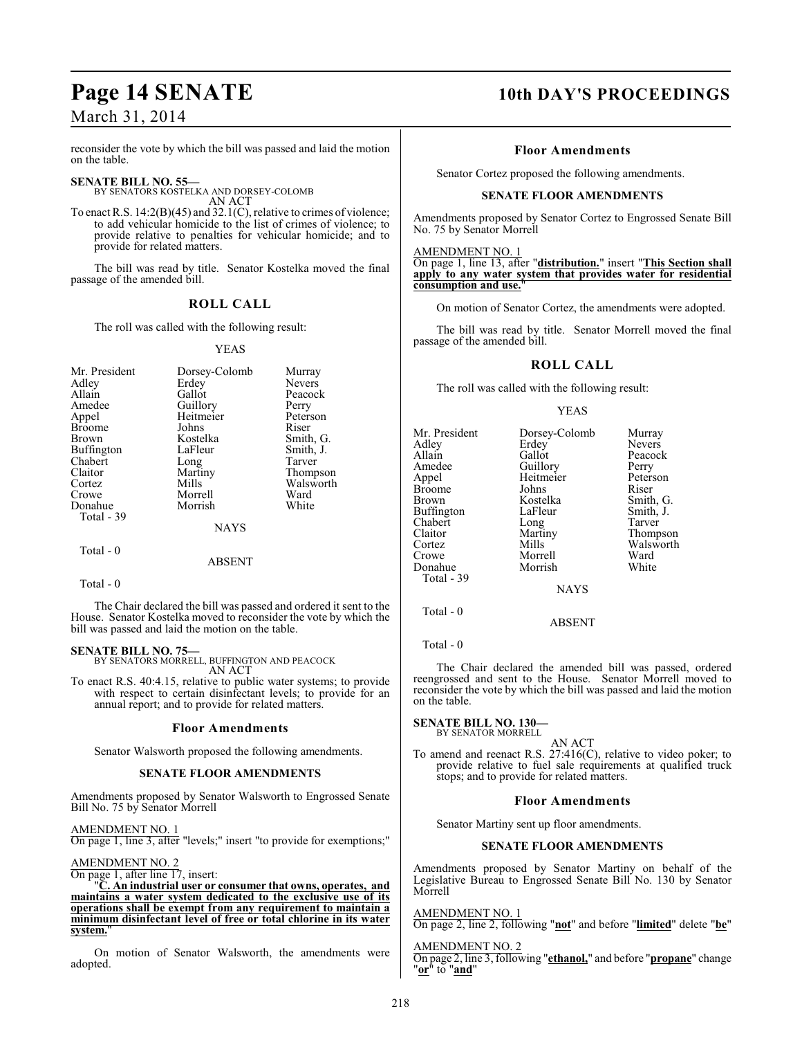reconsider the vote by which the bill was passed and laid the motion on the table.

### **SENATE BILL NO. 55—**

BY SENATORS KOSTELKA AND DORSEY-COLOMB AN ACT

To enact R.S. 14:2(B)(45) and 32.1(C), relative to crimes of violence; to add vehicular homicide to the list of crimes of violence; to provide relative to penalties for vehicular homicide; and to provide for related matters.

The bill was read by title. Senator Kostelka moved the final passage of the amended bill.

### **ROLL CALL**

The roll was called with the following result:

### YEAS

| Mr. President<br>Adley<br>Allain<br>Amedee<br>Appel<br><b>Broome</b><br><b>Brown</b><br>Buffington<br>Chabert<br>Claitor<br>Cortez<br>Crowe | Dorsey-Colomb<br>Erdey<br>Gallot<br>Guillory<br>Heitmeier<br>Johns<br>Kostelka<br>LaFleur<br>Long<br>Martiny<br>Mills<br>Morrell | Murray<br><b>Nevers</b><br>Peacock<br>Perry<br>Peterson<br>Riser<br>Smith, G.<br>Smith, J.<br>Tarver<br>Thompson<br>Walsworth<br>Ward |
|---------------------------------------------------------------------------------------------------------------------------------------------|----------------------------------------------------------------------------------------------------------------------------------|---------------------------------------------------------------------------------------------------------------------------------------|
| Donahue<br>Total - 39                                                                                                                       | Morrish                                                                                                                          | White                                                                                                                                 |
|                                                                                                                                             | <b>NAYS</b>                                                                                                                      |                                                                                                                                       |
| Total - 0                                                                                                                                   | ABSENT                                                                                                                           |                                                                                                                                       |

Total - 0

The Chair declared the bill was passed and ordered it sent to the House. Senator Kostelka moved to reconsider the vote by which the bill was passed and laid the motion on the table.

### **SENATE BILL NO. 75—**

BY SENATORS MORRELL, BUFFINGTON AND PEACOCK AN ACT

To enact R.S. 40:4.15, relative to public water systems; to provide with respect to certain disinfectant levels; to provide for an annual report; and to provide for related matters.

### **Floor Amendments**

Senator Walsworth proposed the following amendments.

### **SENATE FLOOR AMENDMENTS**

Amendments proposed by Senator Walsworth to Engrossed Senate Bill No. 75 by Senator Morrell

AMENDMENT NO. 1 On page 1, line 3, after "levels;" insert "to provide for exemptions;"

AMENDMENT NO. 2

On page 1, after line 17, insert:

"**C. An industrial user or consumer that owns, operates, and maintains a water system dedicated to the exclusive use of its operations shall be exempt from any requirement to maintain a minimum disinfectant level of free or total chlorine in its water system.**"

On motion of Senator Walsworth, the amendments were adopted.

## **Page 14 SENATE 10th DAY'S PROCEEDINGS**

### **Floor Amendments**

Senator Cortez proposed the following amendments.

### **SENATE FLOOR AMENDMENTS**

Amendments proposed by Senator Cortez to Engrossed Senate Bill No. 75 by Senator Morrell

AMENDMENT NO. 1

On page 1, line 13, after "**distribution.**" insert "**This Section shall apply to any water system that provides water for residential consumption and use.**"

On motion of Senator Cortez, the amendments were adopted.

The bill was read by title. Senator Morrell moved the final passage of the amended bill.

### **ROLL CALL**

The roll was called with the following result:

### YEAS

| Mr. President<br>Adley<br>Allain<br>Amedee<br>Appel<br>Broome<br>Brown<br>Buffington<br>Chabert<br>Claitor<br>Cortez | Dorsey-Colomb<br>Erdey<br>Gallot<br>Guillory<br>Heitmeier<br>Johns<br>Kostelka<br>LaFleur<br>Long<br>Martiny<br>Mills | Murray<br><b>Nevers</b><br>Peacock<br>Perry<br>Peterson<br>Riser<br>Smith, G.<br>Smith, J.<br>Tarver<br>Thompson<br>Walsworth |
|----------------------------------------------------------------------------------------------------------------------|-----------------------------------------------------------------------------------------------------------------------|-------------------------------------------------------------------------------------------------------------------------------|
|                                                                                                                      |                                                                                                                       |                                                                                                                               |
|                                                                                                                      |                                                                                                                       |                                                                                                                               |
|                                                                                                                      |                                                                                                                       |                                                                                                                               |
|                                                                                                                      |                                                                                                                       |                                                                                                                               |
| Crowe                                                                                                                | Morrell                                                                                                               | Ward                                                                                                                          |
| Donahue                                                                                                              | Morrish                                                                                                               | White                                                                                                                         |
| Total - 39                                                                                                           |                                                                                                                       |                                                                                                                               |
|                                                                                                                      | <b>NAYS</b>                                                                                                           |                                                                                                                               |
|                                                                                                                      |                                                                                                                       |                                                                                                                               |

### ABSENT

Total - 0

Total - 0

The Chair declared the amended bill was passed, ordered reengrossed and sent to the House. Senator Morrell moved to reconsider the vote by which the bill was passed and laid the motion on the table.

### **SENATE BILL NO. 130—** BY SENATOR MORRELL

AN ACT To amend and reenact R.S. 27:416(C), relative to video poker; to provide relative to fuel sale requirements at qualified truck stops; and to provide for related matters.

### **Floor Amendments**

Senator Martiny sent up floor amendments.

### **SENATE FLOOR AMENDMENTS**

Amendments proposed by Senator Martiny on behalf of the Legislative Bureau to Engrossed Senate Bill No. 130 by Senator Morrell

AMENDMENT NO. 1 On page 2, line 2, following "**not**" and before "**limited**" delete "**be**"

AMENDMENT NO. 2 On page 2, line 3, following "**ethanol,**" and before "**propane**" change "**or**" to "**and**"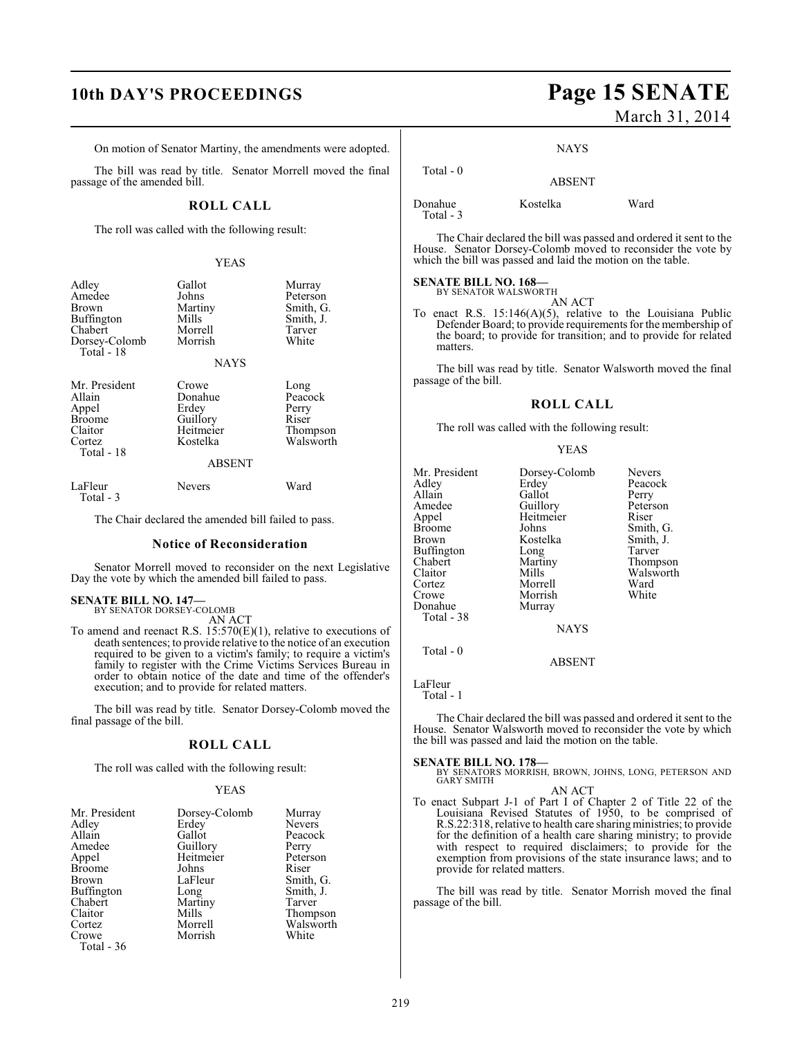On motion of Senator Martiny, the amendments were adopted.

The bill was read by title. Senator Morrell moved the final passage of the amended bill.

### **ROLL CALL**

The roll was called with the following result:

### YEAS

| Adley<br>Amedee<br>Brown<br><b>Buffington</b><br>Chabert<br>Dorsey-Colomb<br>Total - 18 | Gallot<br>Johns<br>Martiny<br>Mills<br>Morrell<br>Morrish<br><b>NAYS</b>        | Murray<br>Peterson<br>Smith, G.<br>Smith, J.<br>Tarver<br>White |
|-----------------------------------------------------------------------------------------|---------------------------------------------------------------------------------|-----------------------------------------------------------------|
| Mr. President<br>Allain<br>Appel<br><b>Broome</b><br>Claitor<br>Cortez<br>Total - 18    | Crowe<br>Donahue<br>Erdey<br>Guillory<br>Heitmeier<br>Kostelka<br><b>ABSENT</b> | Long<br>Peacock<br>Perry<br>Riser<br>Thompson<br>Walsworth      |
| LaFleur                                                                                 | Nevers                                                                          | Ward                                                            |

Total - 3

The Chair declared the amended bill failed to pass.

### **Notice of Reconsideration**

Senator Morrell moved to reconsider on the next Legislative Day the vote by which the amended bill failed to pass.

## **SENATE BILL NO. 147—** BY SENATOR DORSEY-COLOMB

AN ACT

To amend and reenact R.S. 15:570(E)(1), relative to executions of death sentences; to provide relative to the notice of an execution required to be given to a victim's family; to require a victim's family to register with the Crime Victims Services Bureau in order to obtain notice of the date and time of the offender's execution; and to provide for related matters.

The bill was read by title. Senator Dorsey-Colomb moved the final passage of the bill.

### **ROLL CALL**

The roll was called with the following result:

### YEAS

| Mr. President | Dorsey-Colomb | Murray        |
|---------------|---------------|---------------|
| Adley         | Erdey         | <b>Nevers</b> |
| Allain        | Gallot        | Peacock       |
| Amedee        | Guillory      | Perry         |
| Appel         | Heitmeier     | Peterson      |
| <b>Broome</b> | Johns         | Riser         |
| <b>Brown</b>  | LaFleur       | Smith, G.     |
| Buffington    | Long          | Smith, J.     |
| Chabert       | Martiny       | Tarver        |
| Claitor       | Mills         | Thompson      |
| Cortez        | Morrell       | Walsworth     |
| Crowe         | Morrish       | White         |
| Total - 36    |               |               |

## **10th DAY'S PROCEEDINGS Page 15 SENATE** March 31, 2014

**NAYS** 

### Total - 0 ABSENT

Donahue Kostelka Ward

Total - 3

The Chair declared the bill was passed and ordered it sent to the House. Senator Dorsey-Colomb moved to reconsider the vote by which the bill was passed and laid the motion on the table.

## **SENATE BILL NO. 168—**<br>BY SENATOR WALSWORTH

AN ACT

To enact R.S.  $15:146(A)(5)$ , relative to the Louisiana Public Defender Board; to provide requirements for the membership of the board; to provide for transition; and to provide for related matters.

The bill was read by title. Senator Walsworth moved the final passage of the bill.

### **ROLL CALL**

The roll was called with the following result:

### YEAS

| Mr. President     | Dorsey-Colomb | <b>Nevers</b> |
|-------------------|---------------|---------------|
| Adley             | Erdey         | Peacock       |
| Allain            | Gallot        | Perry         |
| Amedee            | Guillory      | Peterson      |
| Appel             | Heitmeier     | Riser         |
| <b>Broome</b>     | Johns         | Smith, G.     |
| Brown             | Kostelka      | Smith, J.     |
| <b>Buffington</b> | Long          | Tarver        |
| Chabert           | Martiny       | Thompson      |
| Claitor           | Mills         | Walsworth     |
| Cortez            | Morrell       | Ward          |
| Crowe             | Morrish       | White         |
| Donahue           | Murray        |               |
| Total - 38        |               |               |
|                   | <b>NAYS</b>   |               |
|                   |               |               |

ABSENT

LaFleur

Total - 0

Total - 1

The Chair declared the bill was passed and ordered it sent to the House. Senator Walsworth moved to reconsider the vote by which the bill was passed and laid the motion on the table.

**SENATE BILL NO. 178—** BY SENATORS MORRISH, BROWN, JOHNS, LONG, PETERSON AND GARY SMITH AN ACT

To enact Subpart J-1 of Part I of Chapter 2 of Title 22 of the Louisiana Revised Statutes of 1950, to be comprised of R.S.22:318, relative to health care sharingministries; to provide for the definition of a health care sharing ministry; to provide with respect to required disclaimers; to provide for the exemption from provisions of the state insurance laws; and to provide for related matters.

The bill was read by title. Senator Morrish moved the final passage of the bill.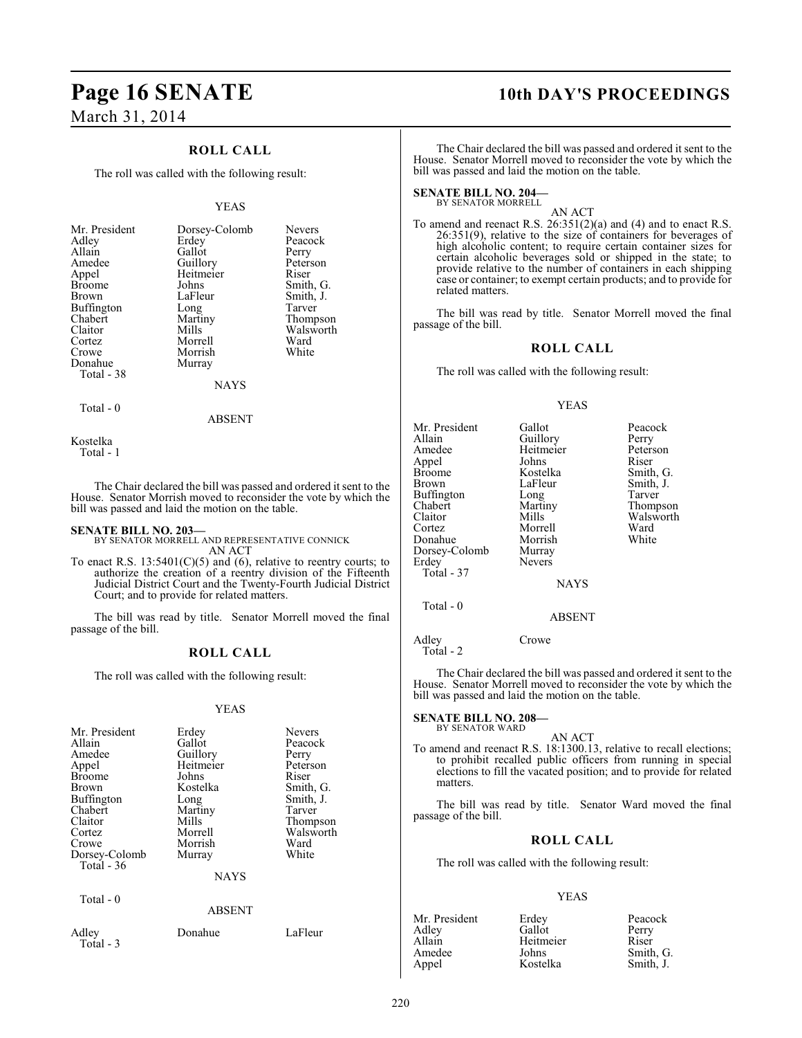## **Page 16 SENATE 10th DAY'S PROCEEDINGS** March 31, 2014

### **ROLL CALL**

The roll was called with the following result:

### YEAS

| Mr. President | Dorsey-Colomb | <b>Nevers</b> |
|---------------|---------------|---------------|
| Adley         | Erdey         | Peacock       |
| Allain        | Gallot        | Perry         |
| Amedee        | Guillory      | Peterson      |
| Appel         | Heitmeier     | Riser         |
| <b>Broome</b> | Johns         | Smith, G.     |
| Brown         | LaFleur       | Smith, J.     |
| Buffington    | Long          | Tarver        |
| Chabert       | Martiny       | Thompson      |
| Claitor       | Mills         | Walsworth     |
| Cortez        | Morrell       | Ward          |
| Crowe         | Morrish       | White         |
| Donahue       | Murray        |               |
| Total - 38    |               |               |
|               | NAYS          |               |

ABSENT

Kostelka Total - 1

Total - 0

The Chair declared the bill was passed and ordered it sent to the House. Senator Morrish moved to reconsider the vote by which the bill was passed and laid the motion on the table.

**SENATE BILL NO. 203—** BY SENATOR MORRELL AND REPRESENTATIVE CONNICK AN ACT

To enact R.S.  $13:5401(C)(5)$  and  $(6)$ , relative to reentry courts; to authorize the creation of a reentry division of the Fifteenth Judicial District Court and the Twenty-Fourth Judicial District Court; and to provide for related matters.

The bill was read by title. Senator Morrell moved the final passage of the bill.

### **ROLL CALL**

The roll was called with the following result:

### YEAS

| Mr. President     | Erdey         | <b>Nevers</b> |
|-------------------|---------------|---------------|
| Allain            | Gallot        | Peacock       |
| Amedee            | Guillory      | Perry         |
| Appel             | Heitmeier     | Peterson      |
| <b>Broome</b>     | Johns         | Riser         |
| Brown             | Kostelka      | Smith, G.     |
| <b>Buffington</b> | Long          | Smith, J.     |
| Chabert           | Martiny       | Tarver        |
| Claitor           | Mills         | Thompson      |
| Cortez            | Morrell       | Walsworth     |
| Crowe             | Morrish       | Ward          |
| Dorsey-Colomb     | Murray        | White         |
| Total $-36$       |               |               |
|                   | <b>NAYS</b>   |               |
| Total - 0         |               |               |
|                   | <b>ABSENT</b> |               |
| Adley             | Donahue       | LaFleur       |

 $Total - 3$ 

The Chair declared the bill was passed and ordered it sent to the House. Senator Morrell moved to reconsider the vote by which the bill was passed and laid the motion on the table.

**SENATE BILL NO. 204—** BY SENATOR MORRELL

AN ACT

To amend and reenact R.S. 26:351(2)(a) and (4) and to enact R.S. 26:351(9), relative to the size of containers for beverages of high alcoholic content; to require certain container sizes for certain alcoholic beverages sold or shipped in the state; to provide relative to the number of containers in each shipping case or container; to exempt certain products; and to provide for related matters.

The bill was read by title. Senator Morrell moved the final passage of the bill.

### **ROLL CALL**

The roll was called with the following result:

### YEAS

| Mr. President | Gallot        | Peacock   |
|---------------|---------------|-----------|
| Allain        | Guillory      | Perry     |
| Amedee        | Heitmeier     | Peterson  |
| Appel         | Johns         | Riser     |
| Broome        | Kostelka      | Smith, G. |
| Brown         | LaFleur       | Smith, J. |
| Buffington    | Long          | Tarver    |
| Chabert       | Martiny       | Thompson  |
| Claitor       | Mills         | Walsworth |
| Cortez        | Morrell       | Ward      |
| Donahue       | Morrish       | White     |
| Dorsey-Colomb | Murray        |           |
| Erdev         | <b>Nevers</b> |           |
| Total - 37    |               |           |
|               | <b>NAYS</b>   |           |
| Total $-0$    | <b>ABSENT</b> |           |
|               |               |           |

Adley Crowe Total - 2

The Chair declared the bill was passed and ordered it sent to the House. Senator Morrell moved to reconsider the vote by which the bill was passed and laid the motion on the table.

**SENATE BILL NO. 208—** BY SENATOR WARD

### AN ACT

To amend and reenact R.S. 18:1300.13, relative to recall elections; to prohibit recalled public officers from running in special elections to fill the vacated position; and to provide for related matters.

The bill was read by title. Senator Ward moved the final passage of the bill.

### **ROLL CALL**

The roll was called with the following result:

### YEAS

| Mr. President | Erdey     | Peacock   |
|---------------|-----------|-----------|
| Adlev         | Gallot    | Perry     |
| Allain        | Heitmeier | Riser     |
| Amedee        | Johns     | Smith, G. |
| Appel         | Kostelka  | Smith, J. |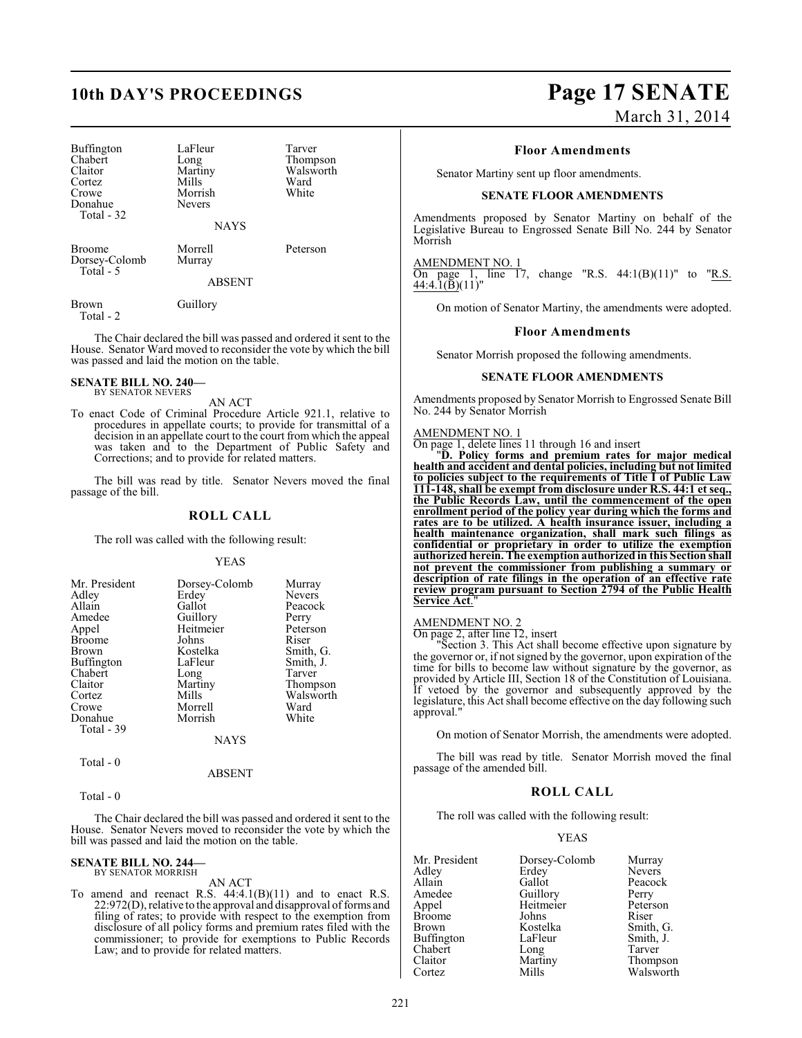Buffington LaFleur Tarver<br>
Chabert Long Thomp Chabert Long Thompson<br>Claitor Martiny Walsworth Cortez Mills Ward<br>Crowe Morrish White Donahue Total - 32

Martiny Walsworth<br>
Mills Ward Morrish<br>Nevers

**NAYS** 

Broome Morrell Peterson<br>
Dorsey-Colomb Murray Dorsey-Colomb Total - 5

ABSENT

Brown Guillory Total - 2

The Chair declared the bill was passed and ordered it sent to the House. Senator Ward moved to reconsider the vote by which the bill

**SENATE BILL NO. 240—**

BY SENATOR NEVERS

was passed and laid the motion on the table.

AN ACT

To enact Code of Criminal Procedure Article 921.1, relative to procedures in appellate courts; to provide for transmittal of a decision in an appellate court to the court from which the appeal was taken and to the Department of Public Safety and Corrections; and to provide for related matters.

The bill was read by title. Senator Nevers moved the final passage of the bill.

### **ROLL CALL**

The roll was called with the following result:

YEAS

| Dorsey-Colomb<br>Erdey<br>Gallot<br>Guillory<br>Heitmeier<br>Johns<br>Kostelka<br>LaFleur<br>Long<br>Martiny<br>Mills<br>Morrell<br>Morrish | Murray<br><b>Nevers</b><br>Peacock<br>Perry<br>Peterson<br>Riser<br>Smith, G.<br>Smith, J.<br>Tarver<br>Thompson<br>Walsworth<br>Ward<br>White |
|---------------------------------------------------------------------------------------------------------------------------------------------|------------------------------------------------------------------------------------------------------------------------------------------------|
| <b>NAYS</b>                                                                                                                                 |                                                                                                                                                |
|                                                                                                                                             |                                                                                                                                                |

 $Total - 0$ 

ABSENT

Total - 0

The Chair declared the bill was passed and ordered it sent to the House. Senator Nevers moved to reconsider the vote by which the bill was passed and laid the motion on the table.

## **SENATE BILL NO. 244—** BY SENATOR MORRISH

AN ACT

To amend and reenact R.S.  $44:4.1(B)(11)$  and to enact R.S. 22:972(D), relative to the approval and disapproval of forms and filing of rates; to provide with respect to the exemption from disclosure of all policy forms and premium rates filed with the commissioner; to provide for exemptions to Public Records Law; and to provide for related matters.

# **10th DAY'S PROCEEDINGS Page 17 SENATE**

March 31, 2014

### **Floor Amendments**

Senator Martiny sent up floor amendments.

### **SENATE FLOOR AMENDMENTS**

Amendments proposed by Senator Martiny on behalf of the Legislative Bureau to Engrossed Senate Bill No. 244 by Senator Morrish

### AMENDMENT NO. 1

On page 1, line 17, change "R.S.  $44:1(B)(11)$ " to "R.S.  $44:4.\overline{1}(\overline{B})(11)$ "

On motion of Senator Martiny, the amendments were adopted.

### **Floor Amendments**

Senator Morrish proposed the following amendments.

### **SENATE FLOOR AMENDMENTS**

Amendments proposed by Senator Morrish to Engrossed Senate Bill No. 244 by Senator Morrish

### AMENDMENT NO. 1

On page 1, delete lines 11 through 16 and insert

"**D. Policy forms and premium rates for major medical health and accident and dental policies, including but not limited to policies subject to the requirements of Title I of Public Law 111-148, shall be exempt from disclosure under R.S. 44:1 et seq., the Public Records Law, until the commencement of the open enrollment period of the policy year during which the forms and rates are to be utilized. A health insurance issuer, including a health maintenance organization, shall mark such filings as confidential or proprietary in order to utilize the exemption authorized herein. The exemption authorized in this Section shall not prevent the commissioner from publishing a summary or description of rate filings in the operation of an effective rate review program pursuant to Section 2794 of the Public Health Service Act**."

### AMENDMENT NO. 2

On page 2, after line 12, insert

"Section 3. This Act shall become effective upon signature by the governor or, if not signed by the governor, upon expiration of the time for bills to become law without signature by the governor, as provided by Article III, Section 18 of the Constitution of Louisiana. If vetoed by the governor and subsequently approved by the legislature, this Act shall become effective on the day following such approval.

On motion of Senator Morrish, the amendments were adopted.

The bill was read by title. Senator Morrish moved the final passage of the amended bill.

### **ROLL CALL**

The roll was called with the following result:

### YEAS

| Mr. President | Dorsey-Colomb | Murray        |
|---------------|---------------|---------------|
| Adley         | Erdey         | <b>Nevers</b> |
| Allain        | Gallot        | Peacock       |
| Amedee        | Guillory      | Perry         |
| Appel         | Heitmeier     | Peterson      |
| <b>Broome</b> | Johns         | Riser         |
| Brown         | Kostelka      | Smith, G.     |
| Buffington    | LaFleur       | Smith, J.     |
| Chabert       | Long          | Tarver        |
| Claitor       | Martiny       | Thompson      |
| Cortez        | Mills         | Walsworth     |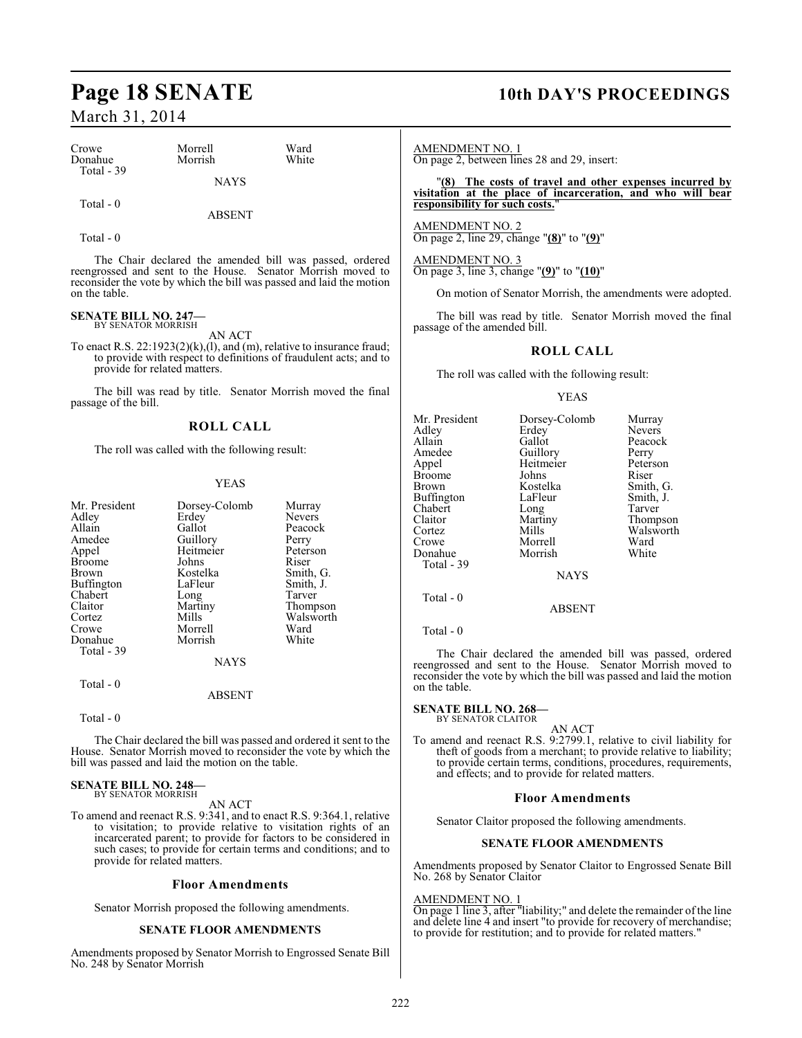| Crowe       | Morrell     | Ward  |
|-------------|-------------|-------|
| Donahue     | Morrish     | White |
| Total $-39$ |             |       |
|             | <b>NAYS</b> |       |

Total - 0

ABSENT

Total - 0

The Chair declared the amended bill was passed, ordered reengrossed and sent to the House. Senator Morrish moved to reconsider the vote by which the bill was passed and laid the motion on the table.

## **SENATE BILL NO. 247—** BY SENATOR MORRISH

AN ACT

To enact R.S. 22:1923(2)(k),(l), and (m), relative to insurance fraud; to provide with respect to definitions of fraudulent acts; and to provide for related matters.

The bill was read by title. Senator Morrish moved the final passage of the bill.

### **ROLL CALL**

The roll was called with the following result:

### YEAS

| Dorsey-Colomb | Murray                                 |
|---------------|----------------------------------------|
| Erdey         | <b>Nevers</b>                          |
| Gallot        | Peacock                                |
|               | Perry                                  |
| Heitmeier     | Peterson                               |
| Johns         | Riser                                  |
| Kostelka      | Smith, G.                              |
| LaFleur       | Smith, J.                              |
|               | Tarver                                 |
|               | Thompson                               |
| Mills         | Walsworth                              |
| Morrell       | Ward                                   |
|               | White                                  |
|               |                                        |
| <b>NAYS</b>   |                                        |
|               |                                        |
| ABSENT        |                                        |
|               | Guillory<br>Long<br>Martiny<br>Morrish |

Total - 0

The Chair declared the bill was passed and ordered it sent to the House. Senator Morrish moved to reconsider the vote by which the bill was passed and laid the motion on the table.

### **SENATE BILL NO. 248—** BY SENATOR MORRISH

AN ACT

To amend and reenact R.S. 9:341, and to enact R.S. 9:364.1, relative to visitation; to provide relative to visitation rights of an incarcerated parent; to provide for factors to be considered in such cases; to provide for certain terms and conditions; and to provide for related matters.

### **Floor Amendments**

Senator Morrish proposed the following amendments.

### **SENATE FLOOR AMENDMENTS**

Amendments proposed by Senator Morrish to Engrossed Senate Bill No. 248 by Senator Morrish

## **Page 18 SENATE 10th DAY'S PROCEEDINGS**

AMENDMENT NO. 1 On page 2, between lines 28 and 29, insert:

"**(8) The costs of travel and other expenses incurred by visitation at the place of incarceration, and who will bear responsibility for such costs.**"

AMENDMENT NO. 2 On page 2, line 29, change "**(8)**" to "**(9)**"

AMENDMENT NO. 3 On page 3, line 3, change "**(9)**" to "**(10)**"

On motion of Senator Morrish, the amendments were adopted.

The bill was read by title. Senator Morrish moved the final passage of the amended bill.

### **ROLL CALL**

The roll was called with the following result:

### YEAS

| Mr. President<br>Adley<br>Allain<br>Amedee<br>Appel<br>Broome<br>Brown<br>Buffington<br>Chabert<br>Claitor<br>Cortez<br>Crowe<br>Donahue<br>Total - 39 | Dorsey-Colomb<br>Erdey<br>Gallot<br>Guillory<br>Heitmeier<br>Johns<br>Kostelka<br>LaFleur<br>Long<br>Martiny<br>Mills<br>Morrell<br>Morrish<br><b>NAYS</b> | Murray<br><b>Nevers</b><br>Peacock<br>Perry<br>Peterson<br>Riser<br>Smith, G.<br>Smith, J.<br>Tarver<br>Thompson<br>Walsworth<br>Ward<br>White |
|--------------------------------------------------------------------------------------------------------------------------------------------------------|------------------------------------------------------------------------------------------------------------------------------------------------------------|------------------------------------------------------------------------------------------------------------------------------------------------|
|                                                                                                                                                        |                                                                                                                                                            |                                                                                                                                                |
| Total - 0                                                                                                                                              | ABSENT                                                                                                                                                     |                                                                                                                                                |
|                                                                                                                                                        |                                                                                                                                                            |                                                                                                                                                |

Total - 0

The Chair declared the amended bill was passed, ordered reengrossed and sent to the House. Senator Morrish moved to reconsider the vote by which the bill was passed and laid the motion on the table.

### **SENATE BILL NO. 268—**

BY SENATOR CLAITOR

AN ACT To amend and reenact R.S. 9:2799.1, relative to civil liability for theft of goods from a merchant; to provide relative to liability; to provide certain terms, conditions, procedures, requirements, and effects; and to provide for related matters.

### **Floor Amendments**

Senator Claitor proposed the following amendments.

### **SENATE FLOOR AMENDMENTS**

Amendments proposed by Senator Claitor to Engrossed Senate Bill No. 268 by Senator Claitor

### AMENDMENT NO. 1

On page 1 line 3, after "liability;" and delete the remainder of the line and delete line 4 and insert "to provide for recovery of merchandise; to provide for restitution; and to provide for related matters."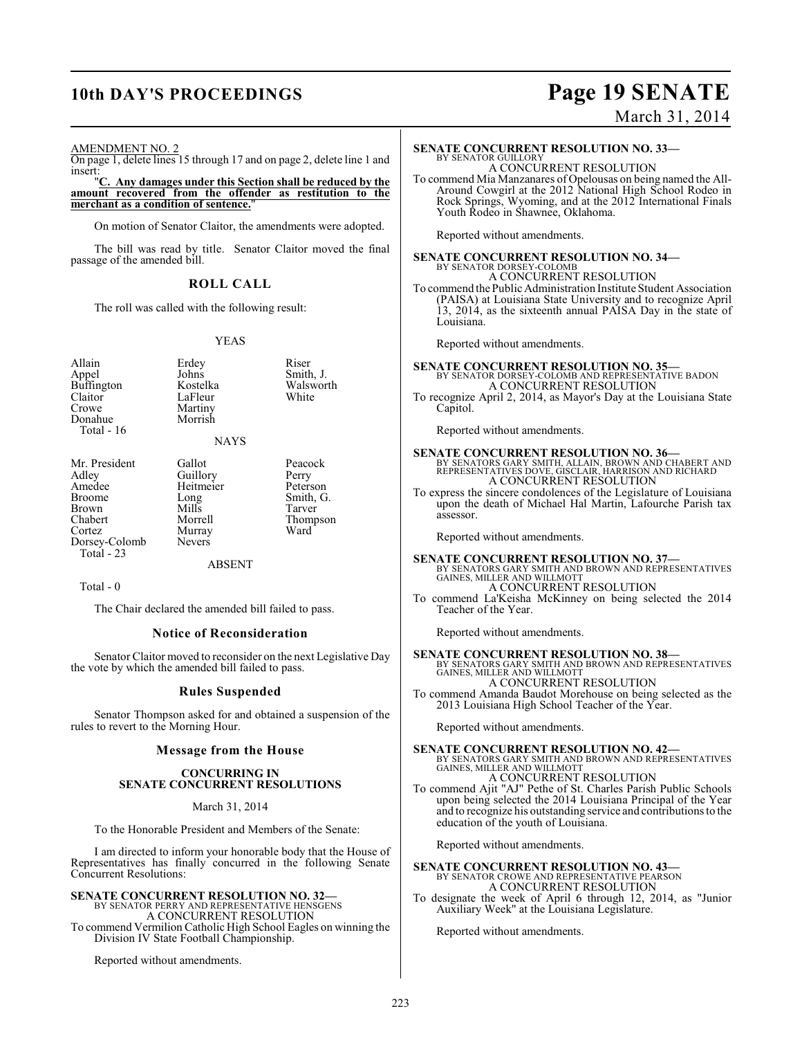## **10th DAY'S PROCEEDINGS Page 19 SENATE**

# March 31, 2014

AMENDMENT NO. 2

On page 1, delete lines 15 through 17 and on page 2, delete line 1 and insert:

"**C. Any damages under this Section shall be reduced by the amount recovered from the offender as restitution to the merchant as a condition of sentence.**"

On motion of Senator Claitor, the amendments were adopted.

The bill was read by title. Senator Claitor moved the final passage of the amended bill.

### **ROLL CALL**

The roll was called with the following result:

### YEAS

Smith, J. Walsworth White

Peacock Perry Peterson Smith, G. Tarver Thompson<br>Ward

| Allain<br>Appel<br><b>Buffington</b><br>Claitor<br>Crowe<br>Donahue<br>Total - 16                       | Erdey<br>Johns<br>Kostelka<br>LaFleur<br>Martiny<br>Morrish<br>NAYS                              | Riser<br>Smith<br>Walsy<br>White                           |
|---------------------------------------------------------------------------------------------------------|--------------------------------------------------------------------------------------------------|------------------------------------------------------------|
| Mr. President<br>Adley<br>Amedee<br>Broome<br>Brown<br>Chabert<br>Cortez<br>Dorsey-Colomb<br>Total - 23 | Gallot<br>Guillory<br>Heitmeier<br>Long<br>Mills<br>Morrell<br>Murray<br>Nevers<br><b>ABSENT</b> | Peaco<br>Perry<br>Peter:<br>Smith<br>Tarve<br>Thom<br>Ward |
| Total - 0                                                                                               |                                                                                                  |                                                            |

The Chair declared the amended bill failed to pass.

### **Notice of Reconsideration**

Senator Claitor moved to reconsider on the next Legislative Day the vote by which the amended bill failed to pass.

### **Rules Suspended**

Senator Thompson asked for and obtained a suspension of the rules to revert to the Morning Hour.

### **Message from the House**

### **CONCURRING IN SENATE CONCURRENT RESOLUTIONS**

March 31, 2014

To the Honorable President and Members of the Senate:

I am directed to inform your honorable body that the House of Representatives has finally concurred in the following Senate Concurrent Resolutions:

### **SENATE CONCURRENT RESOLUTION NO. 32—**

BY SENATOR PERRY AND REPRESENTATIVE HENSGENS A CONCURRENT RESOLUTION To commend Vermilion Catholic High School Eagles on winning the Division IV State Football Championship.

Reported without amendments.

A CONCURRENT RESOLUTION To commend Mia Manzanares of Opelousas on being named the All-Around Cowgirl at the 2012 National High School Rodeo in Rock Springs, Wyoming, and at the 2012 International Finals Youth Rodeo in Shawnee, Oklahoma.

Reported without amendments.

### **SENATE CONCURRENT RESOLUTION NO. 34—** BY SENATOR DORSEY-COLOMB A CONCURRENT RESOLUTION

To commend the Public Administration Institute Student Association (PAISA) at Louisiana State University and to recognize April 13, 2014, as the sixteenth annual PAISA Day in the state of Louisiana.

Reported without amendments.

**SENATE CONCURRENT RESOLUTION NO. 35—** BY SENATOR DORSEY-COLOMB AND REPRESENTATIVE BADON A CONCURRENT RESOLUTION

To recognize April 2, 2014, as Mayor's Day at the Louisiana State Capitol.

Reported without amendments.

# **SENATE CONCURRENT RESOLUTION NO. 36—**<br>BY SENATORS GARY SMITH, ALLAIN, BROWN AND CHABERT AND<br>REPRESENTATIVES DOVE, GISCLAIR, HARRISON AND RICHARD<br>A CONCURRENT RESOLUTION

To express the sincere condolences of the Legislature of Louisiana upon the death of Michael Hal Martin, Lafourche Parish tax assessor.

Reported without amendments.

**SENATE CONCURRENT RESOLUTION NO. 37—**<br>BY SENATORS GARY SMITH AND BROWN AND REPRESENTATIVES<br>GAINES, MILLER AND WILLMOTT A CONCURRENT RESOLUTION

To commend La'Keisha McKinney on being selected the 2014 Teacher of the Year.

Reported without amendments.

**SENATE CONCURRENT RESOLUTION NO. 38—**<br>BY SENATORS GARY SMITH AND BROWN AND REPRESENTATIVES<br>GAINES, MILLER AND WILLMOTT<br>A CONCURRENT RESOLUTION

To commend Amanda Baudot Morehouse on being selected as the 2013 Louisiana High School Teacher of the Year.

Reported without amendments.

## **SENATE CONCURRENT RESOLUTION NO. 42—**<br>BY SENATORS GARY SMITH AND BROWN AND REPRESENTATIVES<br>GAINES, MILLER AND WILLMOTT A CONCURRENT RESOLUTION

To commend Ajit "AJ" Pethe of St. Charles Parish Public Schools upon being selected the 2014 Louisiana Principal of the Year and to recognize his outstanding service and contributions to the education of the youth of Louisiana.

Reported without amendments.

**SENATE CONCURRENT RESOLUTION NO. 43—** BY SENATOR CROWE AND REPRESENTATIVE PEARSON A CONCURRENT RESOLUTION

To designate the week of April 6 through 12, 2014, as "Junior Auxiliary Week" at the Louisiana Legislature.

Reported without amendments.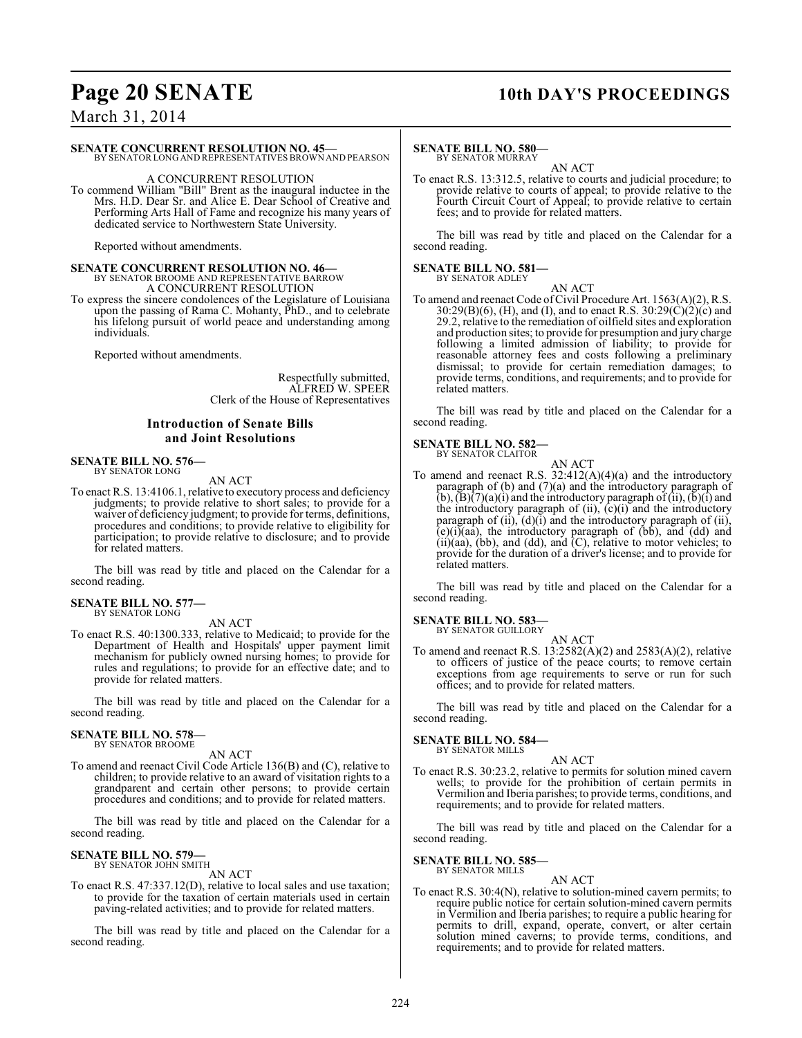## **Page 20 SENATE 10th DAY'S PROCEEDINGS**

March 31, 2014

### **SENATE CONCURRENT RESOLUTION NO. 45—**

BY SENATOR LONG AND REPRESENTATIVES BROWN AND PEARSON

### A CONCURRENT RESOLUTION

To commend William "Bill" Brent as the inaugural inductee in the Mrs. H.D. Dear Sr. and Alice E. Dear School of Creative and Performing Arts Hall of Fame and recognize his many years of dedicated service to Northwestern State University.

Reported without amendments.

# **SENATE CONCURRENT RESOLUTION NO. 46—**<br>BY SENATOR BROOME AND REPRESENTATIVE BARROW<br>A CONCURRENT RESOLUTION

To express the sincere condolences of the Legislature of Louisiana upon the passing of Rama C. Mohanty, PhD., and to celebrate his lifelong pursuit of world peace and understanding among individuals.

Reported without amendments.

Respectfully submitted, ALFRED W. SPEER Clerk of the House of Representatives

### **Introduction of Senate Bills and Joint Resolutions**

### **SENATE BILL NO. 576—** BY SENATOR LONG

AN ACT

To enact R.S. 13:4106.1, relative to executory process and deficiency judgments; to provide relative to short sales; to provide for a waiver of deficiency judgment; to provide for terms, definitions, procedures and conditions; to provide relative to eligibility for participation; to provide relative to disclosure; and to provide for related matters.

The bill was read by title and placed on the Calendar for a second reading.

### **SENATE BILL NO. 577—** BY SENATOR LONG

AN ACT

To enact R.S. 40:1300.333, relative to Medicaid; to provide for the Department of Health and Hospitals' upper payment limit mechanism for publicly owned nursing homes; to provide for rules and regulations; to provide for an effective date; and to provide for related matters.

The bill was read by title and placed on the Calendar for a second reading.

### **SENATE BILL NO. 578—** BY SENATOR BROOME

AN ACT

To amend and reenact Civil Code Article 136(B) and (C), relative to children; to provide relative to an award of visitation rights to a grandparent and certain other persons; to provide certain procedures and conditions; and to provide for related matters.

The bill was read by title and placed on the Calendar for a second reading.

### **SENATE BILL NO. 579—** BY SENATOR JOHN SMITH

AN ACT

To enact R.S. 47:337.12(D), relative to local sales and use taxation; to provide for the taxation of certain materials used in certain paving-related activities; and to provide for related matters.

The bill was read by title and placed on the Calendar for a second reading.

### **SENATE BILL NO. 580—** BY SENATOR MURRAY

AN ACT

To enact R.S. 13:312.5, relative to courts and judicial procedure; to provide relative to courts of appeal; to provide relative to the Fourth Circuit Court of Appeal; to provide relative to certain fees; and to provide for related matters.

The bill was read by title and placed on the Calendar for a second reading.

### **SENATE BILL NO. 581—** BY SENATOR ADLEY

AN ACT

To amend and reenact Code of Civil Procedure Art. 1563(A)(2), R.S.  $30:29(B)(6)$ , (H), and (I), and to enact R.S.  $30:29(\dot{C})(2)(c)$  and 29.2, relative to the remediation of oilfield sites and exploration and production sites; to provide for presumption and jury charge following a limited admission of liability; to provide for reasonable attorney fees and costs following a preliminary dismissal; to provide for certain remediation damages; to provide terms, conditions, and requirements; and to provide for related matters.

The bill was read by title and placed on the Calendar for a second reading.

AN ACT

## **SENATE BILL NO. 582—** BY SENATOR CLAITOR

To amend and reenact R.S. 32:412(A)(4)(a) and the introductory paragraph of (b) and (7)(a) and the introductory paragraph of  $(b)$ ,  $(b)$  $(7)(a)$  $(i)$  and the introductory paragraph of  $(ii)$ ,  $(b)$  $(i)$  and the introductory paragraph of  $(ii)$ ,  $(c)(i)$  and the introductory paragraph of  $(ii)$ ,  $(d)(i)$  and the introductory paragraph of  $(ii)$ ,  $(e)(i)(aa)$ , the introductory paragraph of  $(bb)$ , and  $(dd)$  and  $(ii)(aa)$ ,  $(bb)$ , and  $(dd)$ , and  $(C)$ , relative to motor vehicles; to provide for the duration of a driver's license; and to provide for related matters.

The bill was read by title and placed on the Calendar for a second reading.

## **SENATE BILL NO. 583—**<br>BY SENATOR GUILLORY

AN ACT

To amend and reenact R.S. 13:2582(A)(2) and 2583(A)(2), relative to officers of justice of the peace courts; to remove certain exceptions from age requirements to serve or run for such offices; and to provide for related matters.

The bill was read by title and placed on the Calendar for a second reading.

### **SENATE BILL NO. 584—**

BY SENATOR MILLS AN ACT

To enact R.S. 30:23.2, relative to permits for solution mined cavern wells; to provide for the prohibition of certain permits in Vermilion and Iberia parishes; to provide terms, conditions, and requirements; and to provide for related matters.

The bill was read by title and placed on the Calendar for a second reading.

### **SENATE BILL NO. 585—** BY SENATOR MILLS

AN ACT

To enact R.S. 30:4(N), relative to solution-mined cavern permits; to require public notice for certain solution-mined cavern permits in Vermilion and Iberia parishes; to require a public hearing for permits to drill, expand, operate, convert, or alter certain solution mined caverns; to provide terms, conditions, and requirements; and to provide for related matters.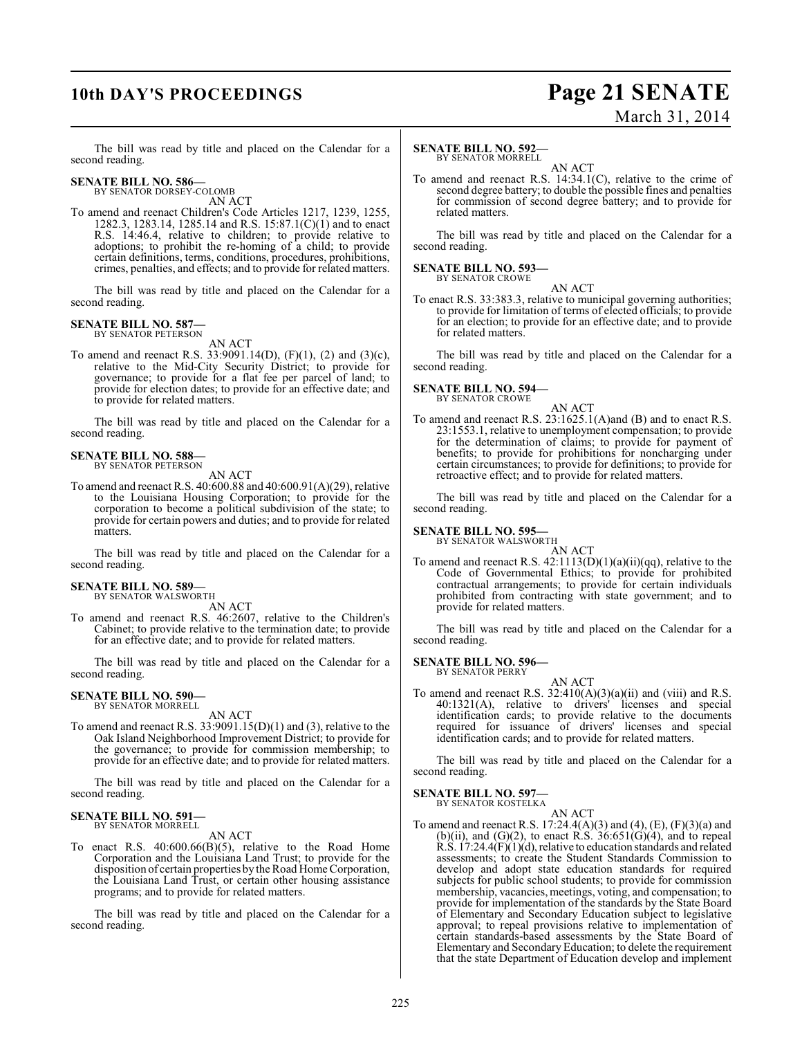## **10th DAY'S PROCEEDINGS Page 21 SENATE**

# March 31, 2014

The bill was read by title and placed on the Calendar for a second reading.

### **SENATE BILL NO. 586—**

BY SENATOR DORSEY-COLOMB AN ACT

To amend and reenact Children's Code Articles 1217, 1239, 1255, 1282.3, 1283.14, 1285.14 and R.S. 15:87.1(C)(1) and to enact R.S. 14:46.4, relative to children; to provide relative to adoptions; to prohibit the re-homing of a child; to provide certain definitions, terms, conditions, procedures, prohibitions, crimes, penalties, and effects; and to provide for related matters.

The bill was read by title and placed on the Calendar for a second reading.

### **SENATE BILL NO. 587—** BY SENATOR PETERSON

AN ACT

To amend and reenact R.S. 33:9091.14(D), (F)(1), (2) and (3)(c), relative to the Mid-City Security District; to provide for governance; to provide for a flat fee per parcel of land; to provide for election dates; to provide for an effective date; and to provide for related matters.

The bill was read by title and placed on the Calendar for a second reading.

### **SENATE BILL NO. 588—** BY SENATOR PETERSON

AN ACT

To amend and reenact R.S. 40:600.88 and 40:600.91(A)(29), relative to the Louisiana Housing Corporation; to provide for the corporation to become a political subdivision of the state; to provide for certain powers and duties; and to provide for related **matters** 

The bill was read by title and placed on the Calendar for a second reading.

### **SENATE BILL NO. 589—**

BY SENATOR WALSWORTH

AN ACT To amend and reenact R.S. 46:2607, relative to the Children's Cabinet; to provide relative to the termination date; to provide for an effective date; and to provide for related matters.

The bill was read by title and placed on the Calendar for a second reading.

### **SENATE BILL NO. 590—** BY SENATOR MORRELL

AN ACT

To amend and reenact R.S. 33:9091.15(D)(1) and (3), relative to the Oak Island Neighborhood Improvement District; to provide for the governance; to provide for commission membership; to provide for an effective date; and to provide for related matters.

The bill was read by title and placed on the Calendar for a second reading.

### **SENATE BILL NO. 591** BY SENATOR MORRELL

AN ACT

To enact R.S. 40:600.66(B)(5), relative to the Road Home Corporation and the Louisiana Land Trust; to provide for the disposition of certain properties by the Road Home Corporation, the Louisiana Land Trust, or certain other housing assistance programs; and to provide for related matters.

The bill was read by title and placed on the Calendar for a second reading.

### **SENATE BILL NO. 592—** BY SENATOR MORRELL

AN ACT

To amend and reenact R.S. 14:34.1(C), relative to the crime of second degree battery; to double the possible fines and penalties for commission of second degree battery; and to provide for related matters.

The bill was read by title and placed on the Calendar for a second reading.

### **SENATE BILL NO. 593—** BY SENATOR CROWE

AN ACT To enact R.S. 33:383.3, relative to municipal governing authorities; to provide for limitation of terms of elected officials; to provide for an election; to provide for an effective date; and to provide for related matters.

The bill was read by title and placed on the Calendar for a second reading.

## **SENATE BILL NO. 594—** BY SENATOR CROWE

AN ACT

To amend and reenact R.S. 23:1625.1(A)and (B) and to enact R.S. 23:1553.1, relative to unemployment compensation; to provide for the determination of claims; to provide for payment of benefits; to provide for prohibitions for noncharging under certain circumstances; to provide for definitions; to provide for retroactive effect; and to provide for related matters.

The bill was read by title and placed on the Calendar for a second reading.

## **SENATE BILL NO. 595—** BY SENATOR WALSWORTH

AN ACT To amend and reenact R.S. 42:1113(D)(1)(a)(ii)(qq), relative to the Code of Governmental Ethics; to provide for prohibited contractual arrangements; to provide for certain individuals prohibited from contracting with state government; and to provide for related matters.

The bill was read by title and placed on the Calendar for a second reading.

### **SENATE BILL NO. 596—**

BY SENATOR PERRY

AN ACT To amend and reenact R.S.  $32:410(A)(3)(a)(ii)$  and (viii) and R.S. 40:1321(A), relative to drivers' licenses and special identification cards; to provide relative to the documents required for issuance of drivers' licenses and special identification cards; and to provide for related matters.

The bill was read by title and placed on the Calendar for a second reading.

## **SENATE BILL NO. 597—** BY SENATOR KOSTELKA

AN ACT

To amend and reenact R.S. 17:24.4(A)(3) and (4), (E), (F)(3)(a) and (b)(ii), and (G)(2), to enact R.S.  $36:651(G)(4)$ , and to repeal R.S.  $17:24.4(F)(1)(d)$ , relative to education standards and related assessments; to create the Student Standards Commission to develop and adopt state education standards for required subjects for public school students; to provide for commission membership, vacancies, meetings, voting, and compensation; to provide for implementation of the standards by the State Board of Elementary and Secondary Education subject to legislative approval; to repeal provisions relative to implementation of certain standards-based assessments by the State Board of Elementary and Secondary Education; to delete the requirement that the state Department of Education develop and implement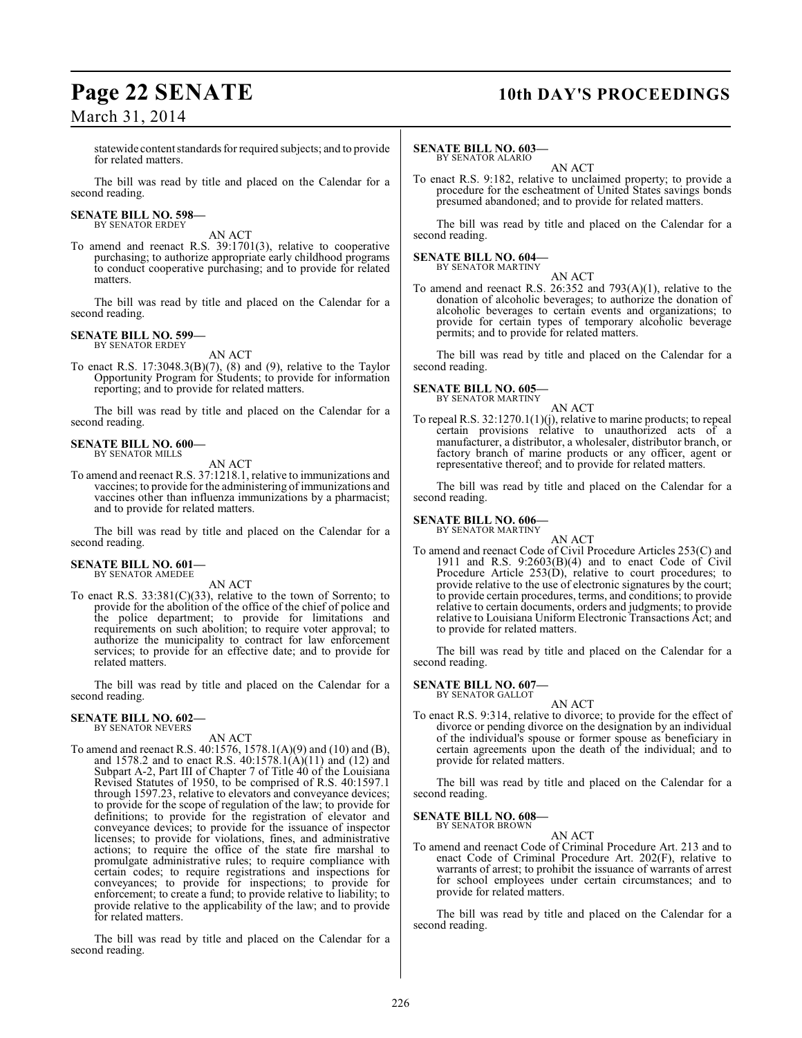## **Page 22 SENATE 10th DAY'S PROCEEDINGS**

statewide contentstandards for required subjects; and to provide for related matters.

The bill was read by title and placed on the Calendar for a second reading.

### **SENATE BILL NO. 598—** BY SENATOR ERDEY

AN ACT

To amend and reenact R.S. 39:1701(3), relative to cooperative purchasing; to authorize appropriate early childhood programs to conduct cooperative purchasing; and to provide for related matters.

The bill was read by title and placed on the Calendar for a second reading.

### **SENATE BILL NO. 599—** BY SENATOR ERDEY

AN ACT

To enact R.S. 17:3048.3(B)(7), (8) and (9), relative to the Taylor Opportunity Program for Students; to provide for information reporting; and to provide for related matters.

The bill was read by title and placed on the Calendar for a second reading.

### **SENATE BILL NO. 600—** BY SENATOR MILLS

AN ACT

To amend and reenact R.S. 37:1218.1, relative to immunizations and vaccines; to provide for the administering of immunizations and vaccines other than influenza immunizations by a pharmacist; and to provide for related matters.

The bill was read by title and placed on the Calendar for a second reading.

### **SENATE BILL NO. 601—** BY SENATOR AMEDEE

AN ACT

To enact R.S. 33:381(C)(33), relative to the town of Sorrento; to provide for the abolition of the office of the chief of police and the police department; to provide for limitations and requirements on such abolition; to require voter approval; to authorize the municipality to contract for law enforcement services; to provide for an effective date; and to provide for related matters.

The bill was read by title and placed on the Calendar for a second reading.

### **SENATE BILL NO. 602—** BY SENATOR NEVERS

AN ACT

To amend and reenact R.S. 40:1576, 1578.1(A)(9) and (10) and (B), and 1578.2 and to enact R.S. 40:1578.1(A)(11) and (12) and Subpart A-2, Part III of Chapter 7 of Title 40 of the Louisiana Revised Statutes of 1950, to be comprised of R.S. 40:1597.1 through 1597.23, relative to elevators and conveyance devices; to provide for the scope of regulation of the law; to provide for definitions; to provide for the registration of elevator and conveyance devices; to provide for the issuance of inspector licenses; to provide for violations, fines, and administrative actions; to require the office of the state fire marshal to promulgate administrative rules; to require compliance with certain codes; to require registrations and inspections for conveyances; to provide for inspections; to provide for enforcement; to create a fund; to provide relative to liability; to provide relative to the applicability of the law; and to provide for related matters.

The bill was read by title and placed on the Calendar for a second reading.

### **SENATE BILL NO. 603—** BY SENATOR ALARIO

AN ACT

To enact R.S. 9:182, relative to unclaimed property; to provide a procedure for the escheatment of United States savings bonds presumed abandoned; and to provide for related matters.

The bill was read by title and placed on the Calendar for a second reading.

## **SENATE BILL NO. 604—** BY SENATOR MARTINY

AN ACT

To amend and reenact R.S.  $26:352$  and  $793(A)(1)$ , relative to the donation of alcoholic beverages; to authorize the donation of alcoholic beverages to certain events and organizations; to provide for certain types of temporary alcoholic beverage permits; and to provide for related matters.

The bill was read by title and placed on the Calendar for a second reading.

### **SENATE BILL NO. 605—**

BY SENATOR MARTINY AN ACT

To repeal R.S. 32:1270.1(1)(j), relative to marine products; to repeal certain provisions relative to unauthorized acts of a manufacturer, a distributor, a wholesaler, distributor branch, or factory branch of marine products or any officer, agent or representative thereof; and to provide for related matters.

The bill was read by title and placed on the Calendar for a second reading.

## **SENATE BILL NO. 606—** BY SENATOR MARTINY

AN ACT To amend and reenact Code of Civil Procedure Articles 253(C) and 1911 and R.S. 9:2603(B)(4) and to enact Code of Civil Procedure Article 253(D), relative to court procedures; to provide relative to the use of electronic signatures by the court; to provide certain procedures, terms, and conditions; to provide relative to certain documents, orders and judgments; to provide relative to Louisiana Uniform Electronic Transactions Act; and to provide for related matters.

The bill was read by title and placed on the Calendar for a second reading.

### **SENATE BILL NO. 607—** BY SENATOR GALLOT

AN ACT

To enact R.S. 9:314, relative to divorce; to provide for the effect of divorce or pending divorce on the designation by an individual of the individual's spouse or former spouse as beneficiary in certain agreements upon the death of the individual; and to provide for related matters.

The bill was read by title and placed on the Calendar for a second reading.

### **SENATE BILL NO. 608—** BY SENATOR BROWN

AN ACT

To amend and reenact Code of Criminal Procedure Art. 213 and to enact Code of Criminal Procedure Art. 202(F), relative to warrants of arrest; to prohibit the issuance of warrants of arrest for school employees under certain circumstances; and to provide for related matters.

The bill was read by title and placed on the Calendar for a second reading.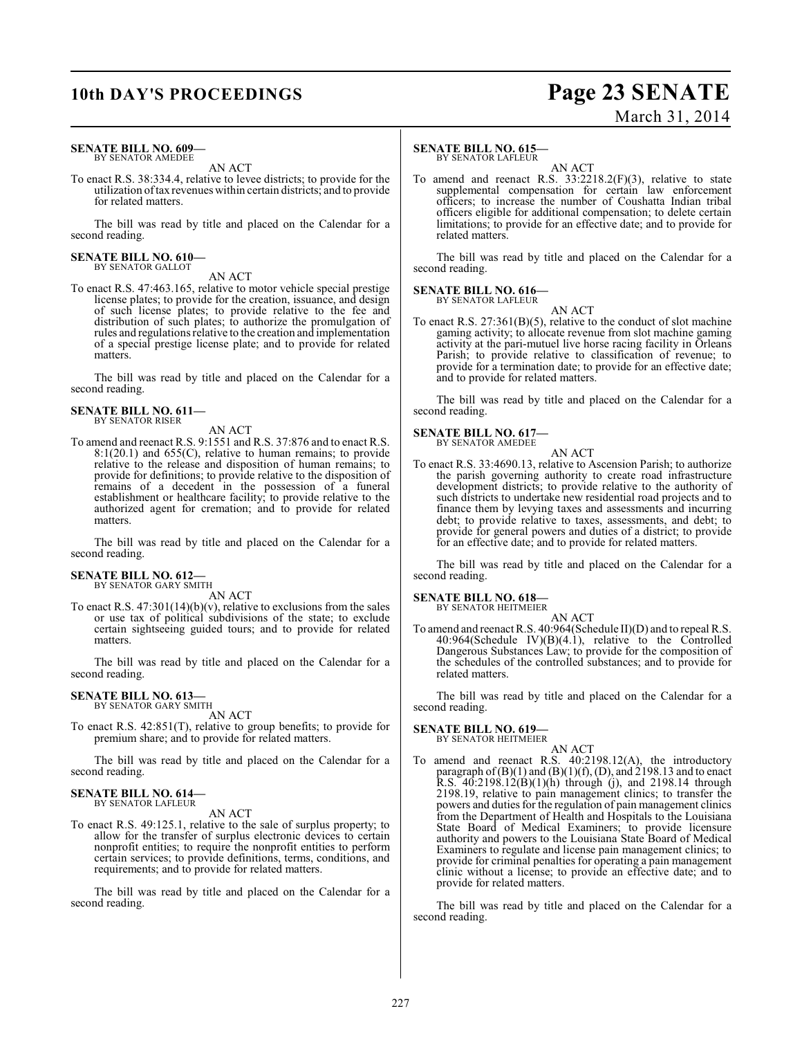## **10th DAY'S PROCEEDINGS Page 23 SENATE** March 31, 2014

### **SENATE BILL NO. 609—** BY SENATOR AMEDEE

AN ACT

To enact R.S. 38:334.4, relative to levee districts; to provide for the utilization of tax revenues within certain districts; and to provide for related matters.

The bill was read by title and placed on the Calendar for a second reading.

## **SENATE BILL NO. 610—** BY SENATOR GALLOT

AN ACT

To enact R.S. 47:463.165, relative to motor vehicle special prestige license plates; to provide for the creation, issuance, and design of such license plates; to provide relative to the fee and distribution of such plates; to authorize the promulgation of rules and regulations relative to the creation and implementation of a special prestige license plate; and to provide for related matters.

The bill was read by title and placed on the Calendar for a second reading.

### **SENATE BILL NO. 611—** BY SENATOR RISER

AN ACT

To amend and reenact R.S. 9:1551 and R.S. 37:876 and to enact R.S. 8:1(20.1) and 655(C), relative to human remains; to provide relative to the release and disposition of human remains; to provide for definitions; to provide relative to the disposition of remains of a decedent in the possession of a funeral establishment or healthcare facility; to provide relative to the authorized agent for cremation; and to provide for related matters.

The bill was read by title and placed on the Calendar for a second reading.

## **SENATE BILL NO. 612—** BY SENATOR GARY SMITH

AN ACT

To enact R.S.  $47:301(14)(b)(v)$ , relative to exclusions from the sales or use tax of political subdivisions of the state; to exclude certain sightseeing guided tours; and to provide for related matters.

The bill was read by title and placed on the Calendar for a second reading.

### **SENATE BILL NO. 613—** BY SENATOR GARY SMITH

AN ACT

To enact R.S. 42:851(T), relative to group benefits; to provide for premium share; and to provide for related matters.

The bill was read by title and placed on the Calendar for a second reading.

### **SENATE BILL NO. 614—** BY SENATOR LAFLEUR

AN ACT

To enact R.S. 49:125.1, relative to the sale of surplus property; to allow for the transfer of surplus electronic devices to certain nonprofit entities; to require the nonprofit entities to perform certain services; to provide definitions, terms, conditions, and requirements; and to provide for related matters.

The bill was read by title and placed on the Calendar for a second reading.

### **SENATE BILL NO. 615**

BY SENATOR LAFLEUR

AN ACT To amend and reenact R.S. 33:2218.2(F)(3), relative to state supplemental compensation for certain law enforcement officers; to increase the number of Coushatta Indian tribal officers eligible for additional compensation; to delete certain limitations; to provide for an effective date; and to provide for related matters.

The bill was read by title and placed on the Calendar for a second reading.

### **SENATE BILL NO. 616—** BY SENATOR LAFLEUR

AN ACT

To enact R.S. 27:361(B)(5), relative to the conduct of slot machine gaming activity; to allocate revenue from slot machine gaming activity at the pari-mutuel live horse racing facility in Orleans Parish; to provide relative to classification of revenue; to provide for a termination date; to provide for an effective date; and to provide for related matters.

The bill was read by title and placed on the Calendar for a second reading.

## **SENATE BILL NO. 617—** BY SENATOR AMEDEE

AN ACT

To enact R.S. 33:4690.13, relative to Ascension Parish; to authorize the parish governing authority to create road infrastructure development districts; to provide relative to the authority of such districts to undertake new residential road projects and to finance them by levying taxes and assessments and incurring debt; to provide relative to taxes, assessments, and debt; to provide for general powers and duties of a district; to provide for an effective date; and to provide for related matters.

The bill was read by title and placed on the Calendar for a second reading.

### **SENATE BILL NO. 618—**

BY SENATOR HEITMEIER AN ACT

To amend and reenact R.S. 40:964(Schedule II)(D) and to repeal R.S.  $40:964$ (Schedule IV)(B)(4.1), relative to the Controlled Dangerous Substances Law; to provide for the composition of the schedules of the controlled substances; and to provide for related matters.

The bill was read by title and placed on the Calendar for a second reading.

### **SENATE BILL NO. 619—** BY SENATOR HEITMEIER

AN ACT

To amend and reenact R.S. 40:2198.12(A), the introductory paragraph of  $(B)(1)$  and  $(B)(1)(f)$ ,  $(D)$ , and 2198.13 and to enact R.S. 40:2198.12(B)(1)(h) through (j), and 2198.14 through 2198.19, relative to pain management clinics; to transfer the powers and duties for the regulation of pain management clinics from the Department of Health and Hospitals to the Louisiana State Board of Medical Examiners; to provide licensure authority and powers to the Louisiana State Board of Medical Examiners to regulate and license pain management clinics; to provide for criminal penalties for operating a pain management clinic without a license; to provide an effective date; and to provide for related matters.

The bill was read by title and placed on the Calendar for a second reading.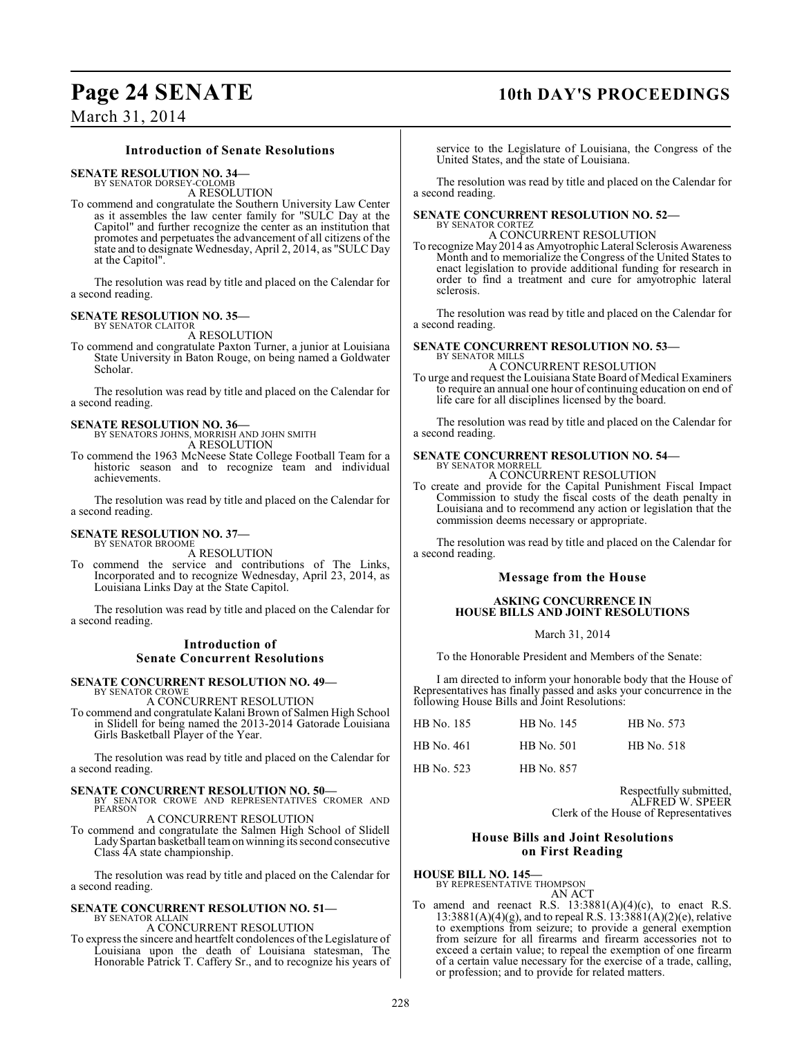## **Page 24 SENATE 10th DAY'S PROCEEDINGS**

March 31, 2014

### **Introduction of Senate Resolutions**

**SENATE RESOLUTION NO. 34—**

BY SENATOR DORSEY-COLOMB A RESOLUTION

To commend and congratulate the Southern University Law Center as it assembles the law center family for "SULC Day at the Capitol" and further recognize the center as an institution that promotes and perpetuates the advancement of all citizens of the state and to designate Wednesday, April 2, 2014, as "SULC Day at the Capitol".

The resolution was read by title and placed on the Calendar for a second reading.

### **SENATE RESOLUTION NO. 35—** BY SENATOR CLAITOR

A RESOLUTION

To commend and congratulate Paxton Turner, a junior at Louisiana State University in Baton Rouge, on being named a Goldwater Scholar.

The resolution was read by title and placed on the Calendar for a second reading.

### **SENATE RESOLUTION NO. 36—** BY SENATORS JOHNS, MORRISH AND JOHN SMITH

A RESOLUTION To commend the 1963 McNeese State College Football Team for a historic season and to recognize team and individual achievements.

The resolution was read by title and placed on the Calendar for a second reading.

### **SENATE RESOLUTION NO. 37—** BY SENATOR BROOME

A RESOLUTION

To commend the service and contributions of The Links, Incorporated and to recognize Wednesday, April 23, 2014, as Louisiana Links Day at the State Capitol.

The resolution was read by title and placed on the Calendar for a second reading.

### **Introduction of Senate Concurrent Resolutions**

### **SENATE CONCURRENT RESOLUTION NO. 49—** BY SENATOR CROWE

A CONCURRENT RESOLUTION

To commend and congratulate Kalani Brown of Salmen High School in Slidell for being named the 2013-2014 Gatorade Louisiana Girls Basketball Player of the Year.

The resolution was read by title and placed on the Calendar for a second reading.

**SENATE CONCURRENT RESOLUTION NO. 50—**<br>BY SENATOR CROWE AND REPRESENTATIVES CROMER AND<br>PEARSON

### A CONCURRENT RESOLUTION

To commend and congratulate the Salmen High School of Slidell Lady Spartan basketball team on winning its second consecutive Class 4A state championship.

The resolution was read by title and placed on the Calendar for a second reading.

### **SENATE CONCURRENT RESOLUTION NO. 51—** BY SENATOR ALLAIN

A CONCURRENT RESOLUTION

To express the sincere and heartfelt condolences of the Legislature of Louisiana upon the death of Louisiana statesman, The Honorable Patrick T. Caffery Sr., and to recognize his years of

service to the Legislature of Louisiana, the Congress of the United States, and the state of Louisiana.

The resolution was read by title and placed on the Calendar for a second reading.

### **SENATE CONCURRENT RESOLUTION NO. 52—** BY SENATOR CORTEZ

A CONCURRENT RESOLUTION

To recognize May 2014 as Amyotrophic Lateral Sclerosis Awareness Month and to memorialize the Congress of the United States to enact legislation to provide additional funding for research in order to find a treatment and cure for amyotrophic lateral sclerosis.

The resolution was read by title and placed on the Calendar for a second reading.

### **SENATE CONCURRENT RESOLUTION NO. 53—** BY SENATOR MILL

A CONCURRENT RESOLUTION

To urge and request the Louisiana State Board of Medical Examiners to require an annual one hour of continuing education on end of life care for all disciplines licensed by the board.

The resolution was read by title and placed on the Calendar for a second reading.

### **SENATE CONCURRENT RESOLUTION NO. 54—** BY SENATOR MORRELL

A CONCURRENT RESOLUTION

To create and provide for the Capital Punishment Fiscal Impact Commission to study the fiscal costs of the death penalty in Louisiana and to recommend any action or legislation that the commission deems necessary or appropriate.

The resolution was read by title and placed on the Calendar for a second reading.

### **Message from the House**

### **ASKING CONCURRENCE IN HOUSE BILLS AND JOINT RESOLUTIONS**

March 31, 2014

To the Honorable President and Members of the Senate:

I am directed to inform your honorable body that the House of Representatives has finally passed and asks your concurrence in the following House Bills and Joint Resolutions:

| HB No. 185        | HB No. 145 | HB No. 573 |
|-------------------|------------|------------|
| HB No. 461        | HB No. 501 | HB No. 518 |
| <b>HB</b> No. 523 | HB No. 857 |            |

Respectfully submitted, ALFRED W. SPEER Clerk of the House of Representatives

### **House Bills and Joint Resolutions on First Reading**

**HOUSE BILL NO. 145—**

BY REPRESENTATIVE THOMPSON

AN ACT To amend and reenact R.S.  $13:3881(A)(4)(c)$ , to enact R.S.  $13:3881(A)(4)(g)$ , and to repeal R.S.  $13:3881(A)(2)(e)$ , relative to exemptions from seizure; to provide a general exemption from seizure for all firearms and firearm accessories not to exceed a certain value; to repeal the exemption of one firearm of a certain value necessary for the exercise of a trade, calling, or profession; and to provide for related matters.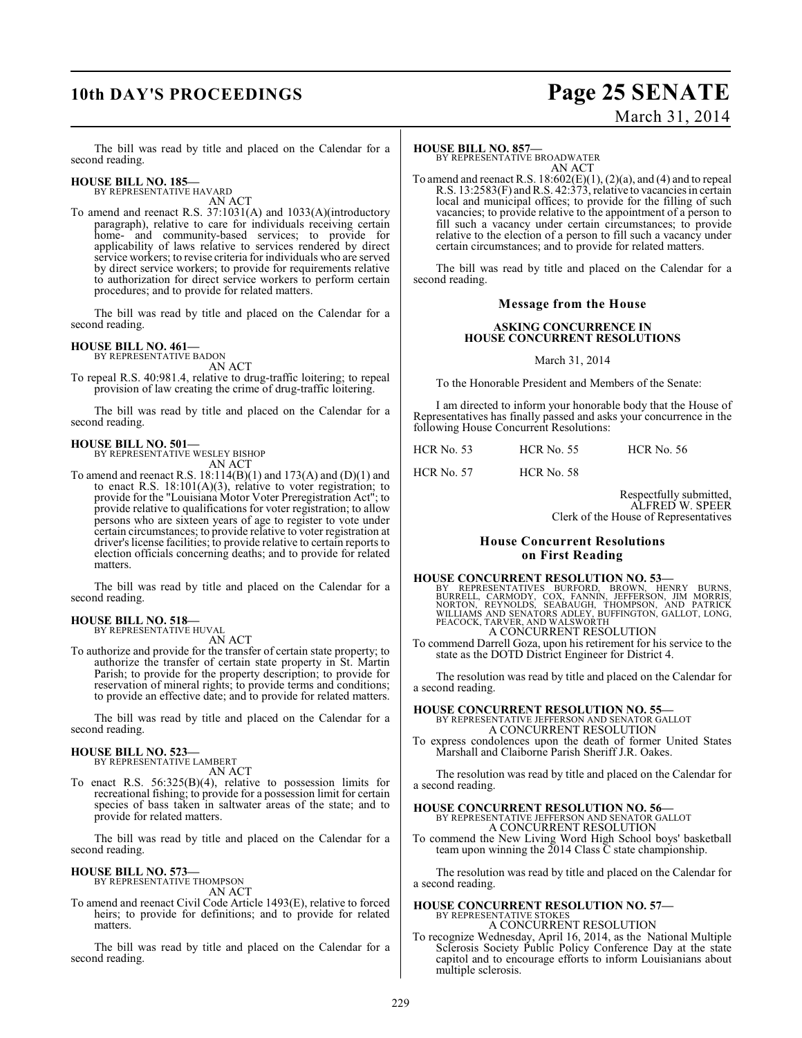## **10th DAY'S PROCEEDINGS Page 25 SENATE**

# March 31, 2014

The bill was read by title and placed on the Calendar for a second reading.

## **HOUSE BILL NO. 185—** BY REPRESENTATIVE HAVARD

AN ACT

To amend and reenact R.S. 37:1031(A) and 1033(A)(introductory paragraph), relative to care for individuals receiving certain home- and community-based services; to provide for applicability of laws relative to services rendered by direct service workers; to revise criteria for individuals who are served by direct service workers; to provide for requirements relative to authorization for direct service workers to perform certain procedures; and to provide for related matters.

The bill was read by title and placed on the Calendar for a second reading.

### **HOUSE BILL NO. 461—**

BY REPRESENTATIVE BADON AN ACT

To repeal R.S. 40:981.4, relative to drug-traffic loitering; to repeal provision of law creating the crime of drug-traffic loitering.

The bill was read by title and placed on the Calendar for a second reading.

## **HOUSE BILL NO. 501—** BY REPRESENTATIVE WESLEY BISHOP

AN ACT

To amend and reenact R.S. 18:114(B)(1) and 173(A) and (D)(1) and to enact R.S.  $18:101(A)(3)$ , relative to voter registration; to provide for the "Louisiana Motor Voter Preregistration Act"; to provide relative to qualifications for voter registration; to allow persons who are sixteen years of age to register to vote under certain circumstances; to provide relative to voter registration at driver's license facilities; to provide relative to certain reports to election officials concerning deaths; and to provide for related matters.

The bill was read by title and placed on the Calendar for a second reading.

## **HOUSE BILL NO. 518—** BY REPRESENTATIVE HUVAL

AN ACT

To authorize and provide for the transfer of certain state property; to authorize the transfer of certain state property in St. Martin Parish; to provide for the property description; to provide for reservation of mineral rights; to provide terms and conditions; to provide an effective date; and to provide for related matters.

The bill was read by title and placed on the Calendar for a second reading.

### **HOUSE BILL NO. 523—** BY REPRESENTATIVE LAMBERT

AN ACT

To enact R.S. 56:325(B)(4), relative to possession limits for recreational fishing; to provide for a possession limit for certain species of bass taken in saltwater areas of the state; and to provide for related matters.

The bill was read by title and placed on the Calendar for a second reading.

### **HOUSE BILL NO. 573—** BY REPRESENTATIVE THOMPSON

AN ACT

To amend and reenact Civil Code Article 1493(E), relative to forced heirs; to provide for definitions; and to provide for related matters.

The bill was read by title and placed on the Calendar for a second reading.

### **HOUSE BILL NO. 857—**

BY REPRESENTATIVE BROADWATER AN ACT

To amend and reenact R.S.  $18:602(E)(1)$ ,  $(2)(a)$ , and  $(4)$  and to repeal R.S. 13:2583(F) and R.S. 42:373, relative to vacancies in certain local and municipal offices; to provide for the filling of such vacancies; to provide relative to the appointment of a person to fill such a vacancy under certain circumstances; to provide relative to the election of a person to fill such a vacancy under certain circumstances; and to provide for related matters.

The bill was read by title and placed on the Calendar for a second reading.

### **Message from the House**

### **ASKING CONCURRENCE IN HOUSE CONCURRENT RESOLUTIONS**

### March 31, 2014

To the Honorable President and Members of the Senate:

I am directed to inform your honorable body that the House of Representatives has finally passed and asks your concurrence in the following House Concurrent Resolutions:

HCR No. 53 HCR No. 55 HCR No. 56

HCR No. 57 HCR No. 58

Respectfully submitted, ALFRED W. SPEER Clerk of the House of Representatives

### **House Concurrent Resolutions on First Reading**

### **HOUSE CONCURRENT RESOLUTION NO. 53—**

BY REPRESENTATIVES BURFORD, BROWN, HENRY BURNS,<br>BURRELL, CARMODY, COX, FANNIN, JEFFERSON, JIM MORRIS,<br>NORTON, REYNOLDS, SEABAUGH, THOMPSON, AND PATRICK<br>WILLIAMS AND SENATORS ADLEY, BUFFINGTON,GALLOT,LONG,<br>PEACOCK,TARVER,AN A CONCURRENT RESOLUTION

To commend Darrell Goza, upon his retirement for his service to the state as the DOTD District Engineer for District 4.

The resolution was read by title and placed on the Calendar for a second reading.

**HOUSE CONCURRENT RESOLUTION NO. 55—** BY REPRESENTATIVE JEFFERSON AND SENATOR GALLOT A CONCURRENT RESOLUTION

To express condolences upon the death of former United States Marshall and Claiborne Parish Sheriff J.R. Oakes.

The resolution was read by title and placed on the Calendar for a second reading.

## **HOUSE CONCURRENT RESOLUTION NO. 56—** BY REPRESENTATIVE JEFFERSON AND SENATOR GALLOT

A CONCURRENT RESOLUTION

To commend the New Living Word High School boys' basketball team upon winning the  $2014$  Class  $\bar{C}$  state championship.

The resolution was read by title and placed on the Calendar for a second reading.

## **HOUSE CONCURRENT RESOLUTION NO. 57—**

BY REPRESENTATIVE STOKES A CONCURRENT RESOLUTION

To recognize Wednesday, April 16, 2014, as the National Multiple Sclerosis Society Public Policy Conference Day at the state capitol and to encourage efforts to inform Louisianians about multiple sclerosis.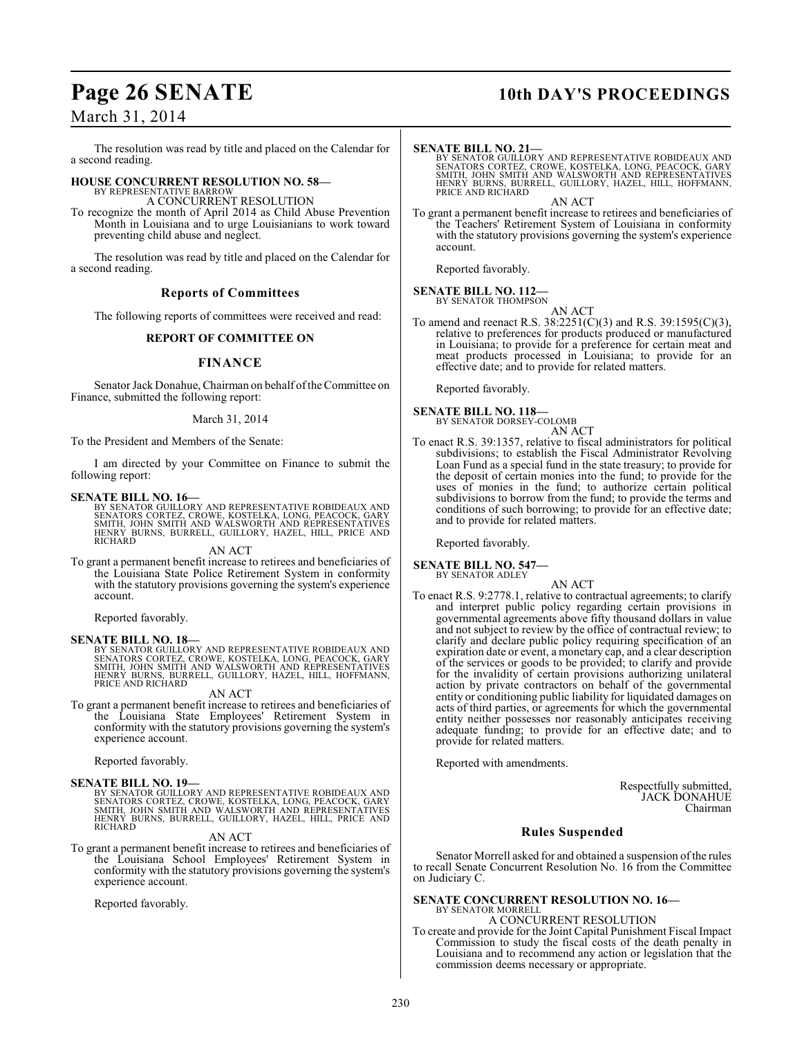## **Page 26 SENATE 10th DAY'S PROCEEDINGS**

## March 31, 2014

The resolution was read by title and placed on the Calendar for a second reading.

### **HOUSE CONCURRENT RESOLUTION NO. 58—** BY REPRESENTATIVE BARROW

A CONCURRENT RESOLUTION

To recognize the month of April 2014 as Child Abuse Prevention Month in Louisiana and to urge Louisianians to work toward preventing child abuse and neglect.

The resolution was read by title and placed on the Calendar for a second reading.

### **Reports of Committees**

The following reports of committees were received and read:

### **REPORT OF COMMITTEE ON**

### **FINANCE**

Senator Jack Donahue, Chairman on behalf of the Committee on Finance, submitted the following report:

### March 31, 2014

To the President and Members of the Senate:

I am directed by your Committee on Finance to submit the following report:

### **SENATE BILL NO. 16—**

BY SENATOR GUILLORY AND REPRESENTATIVE ROBIDEAUX AND<br>SENATORS CORTEZ, CROWE, KOSTELKA, LONG, PEACOCK, GARY<br>SMITH, JOHN SMITH AND WALSWORTH AND REPRESENTATIVES<br>HENRY BURNS, BURRELL, GUILLORY, HAZEL, HILL, PRICE AND RICHARD

AN ACT

To grant a permanent benefit increase to retirees and beneficiaries of the Louisiana State Police Retirement System in conformity with the statutory provisions governing the system's experience account.

Reported favorably.

### **SENATE BILL NO. 18—**

BY SENATOR GUILLORY AND REPRESENTATIVE ROBIDEAUX AND<br>SENATORS CORTEZ, CROWE, KOSTELKA, LONG, PEACOCK, GARY<br>SMITH, JOHN SMITH AND WALSWORTH AND REPRESENTATIVES<br>HENRY BURNS, BURRELL, GUILLORY, HAZEL, HILL, HOFFMANN, PRICE AND RICHARD

### AN ACT

To grant a permanent benefit increase to retirees and beneficiaries of the Louisiana State Employees' Retirement System in conformity with the statutory provisions governing the system's experience account.

Reported favorably.

**SENATE BILL NO. 19—**<br>BY SENATOR GUILLORY AND REPRESENTATIVE ROBIDEAUX AND<br>SENATORS CORTEZ, CROWE, KOSTELKA, LONG, PEACOCK, GARY<br>SMITH, JOHN SMITH AND WALSWORTH AND REPRESENTATIVES<br>HERRY BURNS, BURRELL, GUILLORY, HAZEL, HI

### AN ACT

To grant a permanent benefit increase to retirees and beneficiaries of the Louisiana School Employees' Retirement System in conformity with the statutory provisions governing the system's experience account.

Reported favorably.

### **SENATE BILL NO. 21—**

BY SENATOR GUILLORY AND REPRESENTATIVE ROBIDEAUX AND<br>SENATORS CORTEZ, CROWE, KOSTELKA, LONG, PEACOCK, GARY<br>SMITH, JOHN SMITH AND WALSWORTH AND REPRESENTATIVES<br>HENRY BURNS, BURRELL, GUILLORY, HAZEL, HILL, HOFFMANN, PRICE AND RICHARD AN ACT

To grant a permanent benefit increase to retirees and beneficiaries of the Teachers' Retirement System of Louisiana in conformity with the statutory provisions governing the system's experience account.

Reported favorably.

### **SENATE BILL NO. 112—** BY SENATOR THOMPSON

AN ACT

To amend and reenact R.S. 38:2251(C)(3) and R.S. 39:1595(C)(3), relative to preferences for products produced or manufactured in Louisiana; to provide for a preference for certain meat and meat products processed in Louisiana; to provide for an effective date; and to provide for related matters.

Reported favorably.

**SENATE BILL NO. 118—** BY SENATOR DORSEY-COLOMB

AN ACT

To enact R.S. 39:1357, relative to fiscal administrators for political subdivisions; to establish the Fiscal Administrator Revolving Loan Fund as a special fund in the state treasury; to provide for the deposit of certain monies into the fund; to provide for the uses of monies in the fund; to authorize certain political subdivisions to borrow from the fund; to provide the terms and conditions of such borrowing; to provide for an effective date; and to provide for related matters.

Reported favorably.

### **SENATE BILL NO. 547—**

BY SENATOR ADLEY

AN ACT To enact R.S. 9:2778.1, relative to contractual agreements; to clarify and interpret public policy regarding certain provisions in governmental agreements above fifty thousand dollars in value and not subject to review by the office of contractual review; to clarify and declare public policy requiring specification of an expiration date or event, a monetary cap, and a clear description of the services or goods to be provided; to clarify and provide for the invalidity of certain provisions authorizing unilateral action by private contractors on behalf of the governmental entity or conditioning public liability for liquidated damages on acts of third parties, or agreements for which the governmental entity neither possesses nor reasonably anticipates receiving adequate funding; to provide for an effective date; and to provide for related matters.

Reported with amendments.

Respectfully submitted, JACK DONAHUE Chairman

### **Rules Suspended**

Senator Morrell asked for and obtained a suspension of the rules to recall Senate Concurrent Resolution No. 16 from the Committee on Judiciary C.

## **SENATE CONCURRENT RESOLUTION NO. 16—** BY SENATOR MORRELL

A CONCURRENT RESOLUTION To create and provide for the Joint Capital Punishment Fiscal Impact Commission to study the fiscal costs of the death penalty in Louisiana and to recommend any action or legislation that the commission deems necessary or appropriate.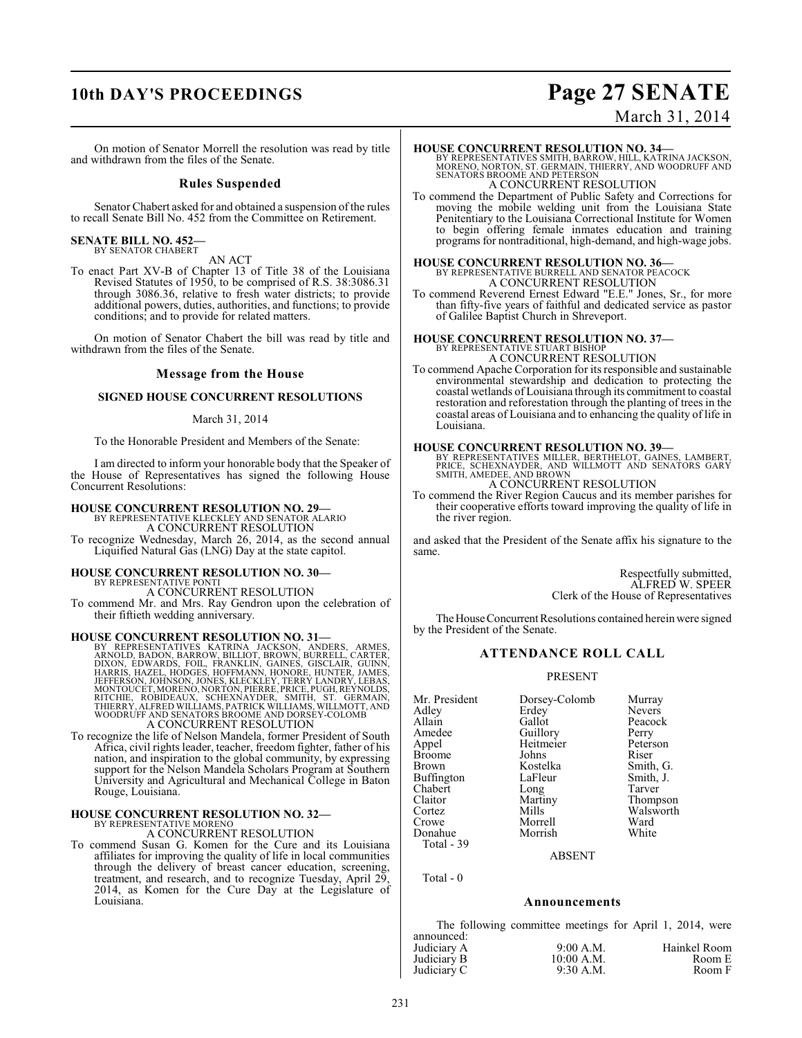## **10th DAY'S PROCEEDINGS Page 27 SENATE**

# March 31, 2014

On motion of Senator Morrell the resolution was read by title and withdrawn from the files of the Senate.

### **Rules Suspended**

Senator Chabert asked for and obtained a suspension of the rules to recall Senate Bill No. 452 from the Committee on Retirement.

### **SENATE BILL NO. 452—** BY SENATOR CHABERT

AN ACT

To enact Part XV-B of Chapter 13 of Title 38 of the Louisiana Revised Statutes of 1950, to be comprised of R.S. 38:3086.31 through 3086.36, relative to fresh water districts; to provide additional powers, duties, authorities, and functions; to provide conditions; and to provide for related matters.

On motion of Senator Chabert the bill was read by title and withdrawn from the files of the Senate.

### **Message from the House**

### **SIGNED HOUSE CONCURRENT RESOLUTIONS**

### March 31, 2014

To the Honorable President and Members of the Senate:

I am directed to inform your honorable body that the Speaker of the House of Representatives has signed the following House Concurrent Resolutions:

### **HOUSE CONCURRENT RESOLUTION NO. 29—**

BY REPRESENTATIVE KLECKLEY AND SENATOR ALARIO A CONCURRENT RESOLUTION

To recognize Wednesday, March 26, 2014, as the second annual Liquified Natural Gas (LNG) Day at the state capitol.

# **HOUSE CONCURRENT RESOLUTION NO. 30—** BY REPRESENTATIVE PONTI A CONCURRENT RESOLUTION

To commend Mr. and Mrs. Ray Gendron upon the celebration of their fiftieth wedding anniversary.

HOUSE CONCURRENT RESOLUTION NO. 31—<br>BY REPRESENTATIVES KATRINA JACKSON, ANDERS, ARMES,<br>ARNOLD, BADON, BARROW, BILLIOT, BROWN, BURRELL, CARTER,<br>DIXON, EDWARDS, FOIL, FRANKLIN, GAINES, GISCLAIR, GUINN,<br>HARRIS, HAZEL, HODGES, A CONCURRENT RESOLUTION

To recognize the life of Nelson Mandela, former President of South Africa, civil rights leader, teacher, freedom fighter, father of his nation, and inspiration to the global community, by expressing support for the Nelson Mandela Scholars Program at Southern University and Agricultural and Mechanical College in Baton Rouge, Louisiana.

## **HOUSE CONCURRENT RESOLUTION NO. 32—** BY REPRESENTATIVE MORENO

A CONCURRENT RESOLUTION

To commend Susan G. Komen for the Cure and its Louisiana affiliates for improving the quality of life in local communities through the delivery of breast cancer education, screening, treatment, and research, and to recognize Tuesday, April 29, 2014, as Komen for the Cure Day at the Legislature of Louisiana.

### **HOUSE CONCURRENT RESOLUTION NO. 34—**

BY REPRESENTATIVES SMITH, BARROW, HILL, KATRINA JACKSON,<br>MORENO, NORTON, ST. GERMAIN, THIERRY, AND WOODRUFF AND<br>SENATORS BROOME AND PETERSON A CONCURRENT RESOLUTION

To commend the Department of Public Safety and Corrections for moving the mobile welding unit from the Louisiana State Penitentiary to the Louisiana Correctional Institute for Women to begin offering female inmates education and training programs for nontraditional, high-demand, and high-wage jobs.

# **HOUSE CONCURRENT RESOLUTION NO. 36—**<br>BY REPRESENTATIVE BURRELL AND SENATOR PEACOCK<br>A CONCURRENT RESOLUTION

To commend Reverend Ernest Edward "E.E." Jones, Sr., for more than fifty-five years of faithful and dedicated service as pastor of Galilee Baptist Church in Shreveport.

## **HOUSE CONCURRENT RESOLUTION NO. 37—** BY REPRESENTATIVE STUART BISHOP A CONCURRENT RESOLUTION

To commend Apache Corporation for its responsible and sustainable environmental stewardship and dedication to protecting the coastal wetlands of Louisiana through its commitment to coastal restoration and reforestation through the planting of trees in the coastal areas of Louisiana and to enhancing the quality of life in Louisiana.

**HOUSE CONCURRENT RESOLUTION NO. 39—**<br>BY REPRESENTATIVES MILLER, BERTHELOT, GAINES, LAMBERT,<br>PRICE, SCHEXNAYDER, AND WILLMOTT AND SENATORS GARY<br>SMITH, AMEDEE, AND BROWN A CONCURRENT RESOLUTION

To commend the River Region Caucus and its member parishes for their cooperative efforts toward improving the quality of life in the river region.

and asked that the President of the Senate affix his signature to the same.

> Respectfully submitted, ALFRED W. SPEER Clerk of the House of Representatives

The House Concurrent Resolutions contained herein were signed by the President of the Senate.

### **ATTENDANCE ROLL CALL**

### PRESENT

Mr. President Dorsey-Colomb Murray<br>Adley Erdey Nevers Adley Erdey Nevers Allain Callot Peaco<br>Amedee Guillory Perry Amedee Guillory Perry<br>Appel Heitmeier Peterson Broome Johns<br>Brown Kostelka Buffington LaFleur Smith,<br>
Chabert Long Tarver Chabert Long<br>Claitor Martiny Claitor Martiny Thompson<br>Cortez Mills Walsworth Cortez Mills Walsworth<br>Crowe Morrell Ward Donahue Total - 39

Heitmeier Peters<br>Johns Riser Kostelka Smith, G.<br>LaFleur Smith, J. Morrell Ward<br>
Morrish White

ABSENT

Total - 0

### **Announcements**

The following committee meetings for April 1, 2014, were announced:

| Judiciary A                | $9:00$ A.M. | Hainkel Room |
|----------------------------|-------------|--------------|
|                            | 10:00 A.M.  | Room E       |
| Judiciary B<br>Judiciary C | $9:30$ A.M. | Room F       |
|                            |             |              |